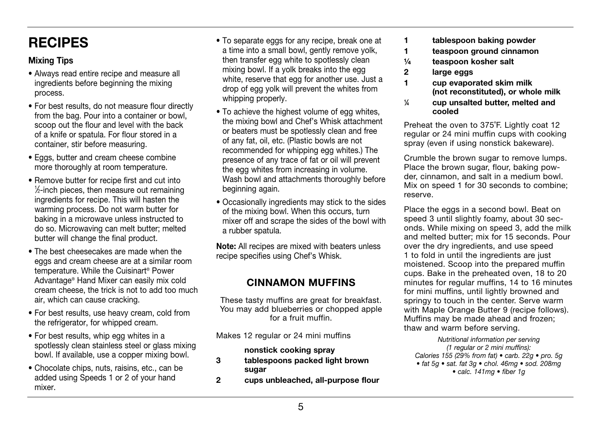# RECIPES

### Mixing Tips

- Always read entire recipe and measure all ingredients before beginning the mixing process.
- For best results, do not measure flour directly from the bag. Pour into a container or bowl, scoop out the flour and level with the back of a knife or spatula. For flour stored in a container, stir before measuring.
- Eggs, butter and cream cheese combine more thoroughly at room temperature.
- Remove butter for recipe first and cut into 1 ⁄2-inch pieces, then measure out remaining ingredients for recipe. This will hasten the warming process. Do not warm butter for baking in a microwave unless instructed to do so. Microwaving can melt butter; melted butter will change the final product.
- The best cheesecakes are made when the eggs and cream cheese are at a similar room temperature. While the Cuisinart® Power Advantage® Hand Mixer can easily mix cold cream cheese, the trick is not to add too much air, which can cause cracking.
- For best results, use heavy cream, cold from the refrigerator, for whipped cream.
- For best results, whip egg whites in a spotlessly clean stainless steel or glass mixing bowl. If available, use a copper mixing bowl.
- Chocolate chips, nuts, raisins, etc., can be added using Speeds 1 or 2 of your hand mixer.
- To separate eggs for any recipe, break one at a time into a small bowl, gently remove yolk, then transfer egg white to spotlessly clean mixing bowl. If a yolk breaks into the egg white, reserve that egg for another use. Just a drop of egg yolk will prevent the whites from whipping properly.
- To achieve the highest volume of egg whites, the mixing bowl and Chef's Whisk attachment or beaters must be spotlessly clean and free of any fat, oil, etc. (Plastic bowls are not recommended for whipping egg whites.) The presence of any trace of fat or oil will prevent the egg whites from increasing in volume. Wash bowl and attachments thoroughly before beginning again.
- Occasionally ingredients may stick to the sides of the mixing bowl. When this occurs, turn mixer off and scrape the sides of the bowl with a rubber spatula.

Note: All recipes are mixed with beaters unless recipe specifies using Chef's Whisk.

### CINNAMON MUFFINS

These tasty muffins are great for breakfast. You may add blueberries or chopped apple for a fruit muffin.

Makes 12 regular or 24 mini muffins

#### nonstick cooking spray

- 3 tablespoons packed light brown sugar
- 2 cups unbleached, all-purpose flour
- 1 tablespoon baking powder
- 1 teaspoon ground cinnamon
- ¼ teaspoon kosher salt
- 2 large eggs
- 1 cup evaporated skim milk (not reconstituted), or whole milk
- $\frac{1}{4}$ ⁄4 cup unsalted butter, melted and cooled

Preheat the oven to 375˚F. Lightly coat 12 regular or 24 mini muffin cups with cooking spray (even if using nonstick bakeware).

Crumble the brown sugar to remove lumps. Place the brown sugar, flour, baking powder, cinnamon, and salt in a medium bowl. Mix on speed 1 for 30 seconds to combine; reserve.

Place the eggs in a second bowl. Beat on speed 3 until slightly foamy, about 30 seconds. While mixing on speed 3, add the milk and melted butter; mix for 15 seconds. Pour over the dry ingredients, and use speed 1 to fold in until the ingredients are just moistened. Scoop into the prepared muffin cups. Bake in the preheated oven, 18 to 20 minutes for regular muffins, 14 to 16 minutes for mini muffins, until lightly browned and springy to touch in the center. Serve warm with Maple Orange Butter 9 (recipe follows). Muffins may be made ahead and frozen; thaw and warm before serving.

Nutritional information per serving (1 regular or 2 mini muffins): Calories 155 (29% from fat)  $\bullet$  carb. 22g  $\bullet$  pro. 5g • fat 5q • sat. fat 3q • chol. 46mg • sod. 208mg  $\bullet$  calc. 141mg  $\bullet$  fiber 1q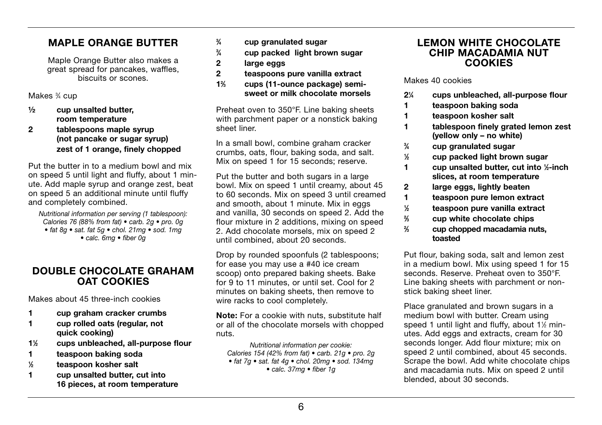### MAPLE ORANGE BUTTER

Maple Orange Butter also makes a great spread for pancakes, waffles, biscuits or scones.

Makes 3 ⁄4 cup

- ½ cup unsalted butter, room temperature
- 2 tablespoons maple syrup (not pancake or sugar syrup) zest of 1 orange, finely chopped

Put the butter in to a medium bowl and mix on speed 5 until light and fluffy, about 1 minute. Add maple syrup and orange zest, beat on speed 5 an additional minute until fluffy and completely combined.

Nutritional information per serving (1 tablespoon): Calories 76 (88% from fat)  $\bullet$  carb. 2g  $\bullet$  pro. 0g • fat 8g • sat. fat 5g • chol. 21mg • sod. 1mg  $\bullet$  calc. 6mg  $\bullet$  fiber 0g

### DOUBLE CHOCOLATE GRAHAM OAT COOKIES

Makes about 45 three-inch cookies

- 1 cup graham cracker crumbs
- 1 cup rolled oats (regular, not quick cooking)
- 11 ⁄2 cups unbleached, all-purpose flour
- 1 teaspoon baking soda
- $\frac{1}{6}$ ⁄2 teaspoon kosher salt
- 1 cup unsalted butter, cut into 16 pieces, at room temperature
- $\frac{3}{4}$ ⁄4 cup granulated sugar
- $\frac{3}{4}$ ⁄4 cup packed light brown sugar
- 2 large eggs
- 2 teaspoons pure vanilla extract
- 12 ⁄3 cups (11-ounce package) semisweet or milk chocolate morsels

Preheat oven to 350°F. Line baking sheets with parchment paper or a nonstick baking sheet liner.

In a small bowl, combine graham cracker crumbs, oats, flour, baking soda, and salt. Mix on speed 1 for 15 seconds; reserve.

Put the butter and both sugars in a large bowl. Mix on speed 1 until creamy, about 45 to 60 seconds. Mix on speed 3 until creamed and smooth, about 1 minute. Mix in eggs and vanilla, 30 seconds on speed 2. Add the flour mixture in 2 additions, mixing on speed 2. Add chocolate morsels, mix on speed 2 until combined, about 20 seconds.

Drop by rounded spoonfuls (2 tablespoons; for ease you may use a #40 ice cream scoop) onto prepared baking sheets. Bake for 9 to 11 minutes, or until set. Cool for 2 minutes on baking sheets, then remove to wire racks to cool completely.

Note: For a cookie with nuts, substitute half or all of the chocolate morsels with chopped nuts.

Nutritional information per cookie: Calories 154 (42% from fat) • carb. 21g • pro. 2g  $\bullet$  fat 7a  $\bullet$  sat, fat 4a  $\bullet$  chol. 20ma  $\bullet$  sod. 134ma  $\bullet$  calc. 37mg  $\bullet$  fiber 1g

#### LEMON WHITE CHOCOLATE CHIP MACADAMIA NUT **COOKIES**

Makes 40 cookies

- $2\frac{1}{4}$ ⁄4 cups unbleached, all-purpose flour
- 1 teaspoon baking soda
- 1 teaspoon kosher salt
- 1 tablespoon finely grated lemon zest (yellow only – no white)
- $\frac{3}{4}$ ⁄4 cup granulated sugar
- $\frac{1}{6}$ ⁄2 cup packed light brown sugar
- 1 cup unsalted butter, cut into 1/2-inch slices, at room temperature
- 2 large eggs, lightly beaten
- 1 teaspoon pure lemon extract<br>
1/<sub>2</sub> teaspoon pure vanilla extract
- ⁄2 teaspoon pure vanilla extract
- $\frac{2}{3}$ ⁄3 cup white chocolate chips
- $\frac{2}{2}$ ⁄3 cup chopped macadamia nuts, toasted

Put flour, baking soda, salt and lemon zest in a medium bowl. Mix using speed 1 for 15 seconds. Reserve. Preheat oven to 350°F. Line baking sheets with parchment or nonstick baking sheet liner.

Place granulated and brown sugars in a medium bowl with butter. Cream using speed 1 until light and fluffy, about  $1\frac{1}{2}$  minutes. Add eggs and extracts, cream for 30 seconds longer. Add flour mixture; mix on speed 2 until combined, about 45 seconds. Scrape the bowl. Add white chocolate chips and macadamia nuts. Mix on speed 2 until blended, about 30 seconds.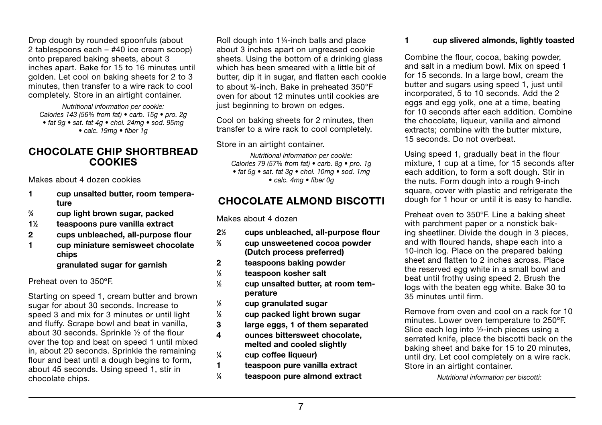Drop dough by rounded spoonfuls (about 2 tablespoons each – #40 ice cream scoop) onto prepared baking sheets, about 3 inches apart. Bake for 15 to 16 minutes until golden. Let cool on baking sheets for 2 to 3 minutes, then transfer to a wire rack to cool completely. Store in an airtight container.

Nutritional information per cookie: Calories 143 (56% from fat) • carb. 15g • pro. 2g  $\bullet$  fat 9q  $\bullet$  sat. fat 4q  $\bullet$  chol. 24mq  $\bullet$  sod. 95mq  $\bullet$  calc. 19mg  $\bullet$  fiber 1g

#### CHOCOLATE CHIP SHORTBREAD COOKIES

Makes about 4 dozen cookies

- 1 cup unsalted butter, room temperature
- $\frac{3}{4}$ ⁄4 cup light brown sugar, packed
- 11 ⁄2 teaspoons pure vanilla extract
- 2 cups unbleached, all-purpose flour
- 1 cup miniature semisweet chocolate chips

#### granulated sugar for garnish

Preheat oven to 350ºF.

Starting on speed 1, cream butter and brown sugar for about 30 seconds. Increase to speed 3 and mix for 3 minutes or until light and fluffy. Scrape bowl and beat in vanilla, about 30 seconds. Sprinkle ½ of the flour over the top and beat on speed 1 until mixed in, about 20 seconds. Sprinkle the remaining flour and beat until a dough begins to form. about 45 seconds. Using speed 1, stir in chocolate chips.

Roll dough into 1¼-inch balls and place about 3 inches apart on ungreased cookie sheets. Using the bottom of a drinking glass which has been smeared with a little bit of butter, dip it in sugar, and flatten each cookie to about %-inch. Bake in preheated 350°F oven for about 12 minutes until cookies are just beginning to brown on edges.

Cool on baking sheets for 2 minutes, then transfer to a wire rack to cool completely.

#### Store in an airtight container.

Nutritional information per cookie: Calories 79 (57% from fat)  $\bullet$  carb. 8g  $\bullet$  pro. 1g • fat 5g · sat. fat 3g · chol. 10mg · sod. 1mg  $\bullet$  calc. 4mg  $\bullet$  fiber 0g

### CHOCOLATE ALMOND BISCOTTI

Makes about 4 dozen

- $2\frac{1}{2}$ ⁄2 cups unbleached, all-purpose flour
- $\frac{2}{2}$ ⁄3 cup unsweetened cocoa powder (Dutch process preferred)
- 2 teaspoons baking powder
- $\frac{1}{2}$ ⁄2 teaspoon kosher salt
- 1 ⁄2 cup unsalted butter, at room temperature
- $\frac{1}{2}$ ⁄2 cup granulated sugar
- $\frac{1}{2}$ ⁄2 cup packed light brown sugar
- 3 large eggs, 1 of them separated
- 4 ounces bittersweet chocolate, melted and cooled slightly
- $\frac{1}{4}$ ⁄4 cup coffee liqueur)

 $\frac{1}{4}$ 

- 1 teaspoon pure vanilla extract
	- ⁄4 teaspoon pure almond extract

#### 1 cup slivered almonds, lightly toasted

Combine the flour, cocoa, baking powder, and salt in a medium bowl. Mix on speed 1 for 15 seconds. In a large bowl, cream the butter and sugars using speed 1, just until incorporated, 5 to 10 seconds. Add the 2 eggs and egg yolk, one at a time, beating for 10 seconds after each addition. Combine the chocolate, liqueur, vanilla and almond extracts; combine with the butter mixture, 15 seconds. Do not overbeat.

Using speed 1, gradually beat in the flour mixture, 1 cup at a time, for 15 seconds after each addition, to form a soft dough. Stir in the nuts. Form dough into a rough 9-inch square, cover with plastic and refrigerate the dough for 1 hour or until it is easy to handle.

Preheat oven to 350ºF. Line a baking sheet with parchment paper or a nonstick baking sheetliner. Divide the dough in 3 pieces, and with floured hands, shape each into a 10-inch log. Place on the prepared baking sheet and flatten to 2 inches across. Place the reserved egg white in a small bowl and beat until frothy using speed 2. Brush the logs with the beaten egg white. Bake 30 to 35 minutes until firm.

Remove from oven and cool on a rack for 10 minutes. Lower oven temperature to 250ºF. Slice each log into ½-inch pieces using a serrated knife, place the biscotti back on the baking sheet and bake for 15 to 20 minutes, until dry. Let cool completely on a wire rack. Store in an airtight container.

Nutritional information per biscotti: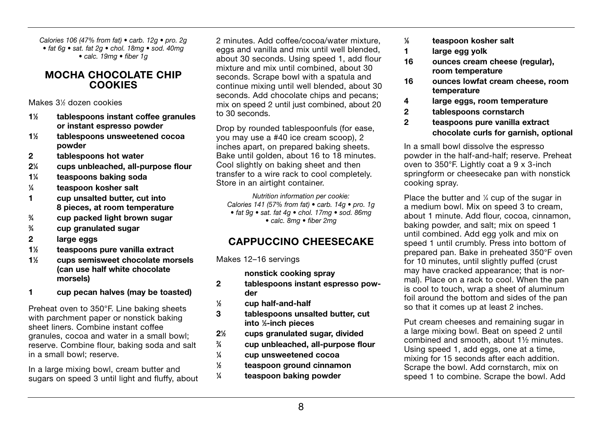Calories 106 (47% from fat) • carb. 12g • pro. 2g  $\bullet$  fat 6q  $\bullet$  sat. fat 2q  $\bullet$  chol. 18mq  $\bullet$  sod. 40mq  $\bullet$  calc. 19mg  $\bullet$  fiber 1g

#### MOCHA CHOCOLATE CHIP **COOKIES**

Makes 31 ⁄2 dozen cookies

- $1\%$ ⁄2 tablespoons instant coffee granules or instant espresso powder
- $1\%$ ⁄2 tablespoons unsweetened cocoa powder
- 2 tablespoons hot water
- $2<sup>1</sup>$ ⁄4 cups unbleached, all-purpose flour
- 11 teaspoons baking soda
- $\frac{1}{4}$ ⁄4 teaspoon kosher salt
- 1 cup unsalted butter, cut into 8 pieces, at room temperature
- $\frac{3}{4}$ ⁄4 cup packed light brown sugar
- $\frac{3}{4}$ ⁄4 cup granulated sugar
- 2 large eggs
- $1\frac{1}{2}$ ⁄2 teaspoons pure vanilla extract
- 11 ⁄2 cups semisweet chocolate morsels (can use half white chocolate morsels)
- 1 cup pecan halves (may be toasted)

Preheat oven to 350°F. Line baking sheets with parchment paper or nonstick baking sheet liners. Combine instant coffee granules, cocoa and water in a small bowl; reserve. Combine flour, baking soda and salt in a small bowl; reserve.

In a large mixing bowl, cream butter and sugars on speed 3 until light and fluffy, about

2 minutes. Add coffee/cocoa/water mixture eggs and vanilla and mix until well blended. about 30 seconds. Using speed 1, add flour mixture and mix until combined, about 30 seconds. Scrape bowl with a spatula and continue mixing until well blended, about 30 seconds. Add chocolate chips and pecans: mix on speed 2 until just combined, about 20 to 30 seconds.

Drop by rounded tablespoonfuls (for ease, you may use a #40 ice cream scoop), 2 inches apart, on prepared baking sheets. Bake until golden, about 16 to 18 minutes. Cool slightly on baking sheet and then transfer to a wire rack to cool completely. Store in an airtight container.

Nutrition information per cookie: Calories 141 (57% from fat)  $\bullet$  carb. 14g  $\bullet$  pro. 1g  $\bullet$  fat 9a  $\bullet$  sat. fat 4a  $\bullet$  chol. 17ma  $\bullet$  sod. 86ma  $\bullet$  calc. 8mg  $\bullet$  fiber 2mg

### CAPPUCCINO CHEESECAKE

Makes 12–16 servings

nonstick cooking spray

- 2 tablespoons instant espresso powder
- $\frac{1}{2}$ ⁄2 cup half-and-half

 $\frac{1}{2}$ 

 $\frac{1}{4}$ 

- 3 tablespoons unsalted butter, cut into 1 ⁄2-inch pieces
- $2\frac{1}{2}$ ⁄2 cups granulated sugar, divided
- $\frac{3}{4}$ ⁄4 cup unbleached, all-purpose flour
- $\frac{1}{4}$ ⁄4 cup unsweetened cocoa
	- ⁄2 teaspoon ground cinnamon
	- ⁄4 teaspoon baking powder
- $1/6$ ⁄8 teaspoon kosher salt
- 1 large egg yolk
- 16 ounces cream cheese (regular), room temperature
- 16 ounces lowfat cream cheese, room temperature
- 4 large eggs, room temperature
- 2 tablespoons cornstarch
- 2 teaspoons pure vanilla extract chocolate curls for garnish, optional

In a small bowl dissolve the espresso powder in the half-and-half; reserve. Preheat oven to 350°F. Lightly coat a 9 x 3-inch springform or cheesecake pan with nonstick cooking spray.

Place the butter and  $\frac{1}{4}$  cup of the sugar in a medium bowl. Mix on speed 3 to cream, about 1 minute. Add flour, cocoa, cinnamon, baking powder, and salt; mix on speed 1 until combined. Add egg yolk and mix on speed 1 until crumbly. Press into bottom of prepared pan. Bake in preheated 350°F oven for 10 minutes, until slightly puffed (crust may have cracked appearance; that is normal). Place on a rack to cool. When the pan is cool to touch, wrap a sheet of aluminum foil around the bottom and sides of the pan so that it comes up at least 2 inches.

Put cream cheeses and remaining sugar in a large mixing bowl. Beat on speed 2 until combined and smooth, about 1½ minutes. Using speed 1, add eggs, one at a time, mixing for 15 seconds after each addition. Scrape the bowl. Add cornstarch, mix on speed 1 to combine. Scrape the bowl. Add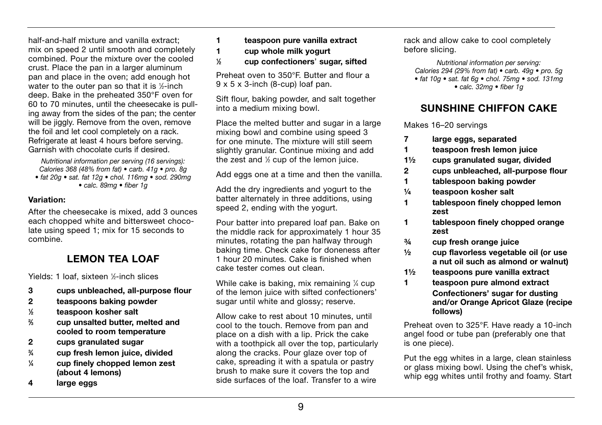half-and-half mixture and vanilla extract; mix on speed 2 until smooth and completely combined. Pour the mixture over the cooled crust. Place the pan in a larger aluminum pan and place in the oven; add enough hot water to the outer pan so that it is ½-inch deep. Bake in the preheated 350°F oven for 60 to 70 minutes, until the cheesecake is pulling away from the sides of the pan; the center will be jiggly. Remove from the oven, remove the foil and let cool completely on a rack. Refrigerate at least 4 hours before serving. Garnish with chocolate curls if desired.

Nutritional information per serving (16 servings): Calories 368 (48% from fat)  $\bullet$  carb. 41g  $\bullet$  pro. 8g  $\bullet$  fat 20q  $\bullet$  sat. fat 12q  $\bullet$  chol. 116mq  $\bullet$  sod. 290mq  $\bullet$  calc. 89mg  $\bullet$  fiber 1q

#### Variation:

After the cheesecake is mixed, add 3 ounces each chopped white and bittersweet chocolate using speed 1; mix for 15 seconds to combine.

### LEMON TEA LOAF

Yields: 1 loaf, sixteen 1 ⁄2-inch slices

- 3 cups unbleached, all-purpose flour
- 2 teaspoons baking powder
- 1 ⁄2 teaspoon kosher salt
- $\frac{2}{3}$ ⁄3 cup unsalted butter, melted and cooled to room temperature
- 2 cups granulated sugar
- $\frac{3}{4}$  $\frac{3}{4}$  cup fresh lemon juice, divided<br> $\frac{1}{4}$  cup finely chopped lemon zest
- ⁄4 cup finely chopped lemon zest (about 4 lemons)
- 4 large eggs
- 1 teaspoon pure vanilla extract
- 1 cup whole milk yogurt
- $\frac{1}{6}$ ⁄2 cup confectioners' sugar, sifted

Preheat oven to 350°F. Butter and flour a 9 x 5 x 3-inch (8-cup) loaf pan.

Sift flour, baking powder, and salt together into a medium mixing bowl.

Place the melted butter and sugar in a large mixing bowl and combine using speed 3 for one minute. The mixture will still seem slightly granular. Continue mixing and add the zest and  $%$  cup of the lemon juice.

Add eggs one at a time and then the vanilla.

Add the dry ingredients and yogurt to the batter alternately in three additions, using speed 2, ending with the yogurt.

Pour batter into prepared loaf pan. Bake on the middle rack for approximately 1 hour 35 minutes, rotating the pan halfway through baking time. Check cake for doneness after 1 hour 20 minutes. Cake is finished when cake tester comes out clean.

While cake is baking, mix remaining 1/4 cup of the lemon juice with sifted confectioners' sugar until white and glossy; reserve.

Allow cake to rest about 10 minutes, until cool to the touch. Remove from pan and place on a dish with a lip. Prick the cake with a toothpick all over the top, particularly along the cracks. Pour glaze over top of cake, spreading it with a spatula or pastry brush to make sure it covers the top and side surfaces of the loaf. Transfer to a wire

rack and allow cake to cool completely before slicing.

Nutritional information per serving: Calories 294 (29% from fat)  $\bullet$  carb. 49g  $\bullet$  pro. 5g  $\bullet$  fat 10a  $\bullet$  sat, fat 6a  $\bullet$  chol. 75ma  $\bullet$  sod. 131ma  $\bullet$  calc. 32mg  $\bullet$  fiber 1q

### SUNSHINE CHIFFON CAKE

Makes 16–20 servings

- 7 large eggs, separated
- 1 teaspoon fresh lemon juice
- 1½ cups granulated sugar, divided
- 2 cups unbleached, all-purpose flour
- 1 tablespoon baking powder
- ¼ teaspoon kosher salt
- 1 tablespoon finely chopped lemon zest
- 1 tablespoon finely chopped orange zest
- ¾ cup fresh orange juice
- ½ cup flavorless vegetable oil (or use a nut oil such as almond or walnut)
- 1½ teaspoons pure vanilla extract
- 1 teaspoon pure almond extract Confectioners' sugar for dusting and/or Orange Apricot Glaze (recipe follows)

Preheat oven to 325°F. Have ready a 10-inch angel food or tube pan (preferably one that is one piece).

Put the egg whites in a large, clean stainless or glass mixing bowl. Using the chef's whisk, whip egg whites until frothy and foamy. Start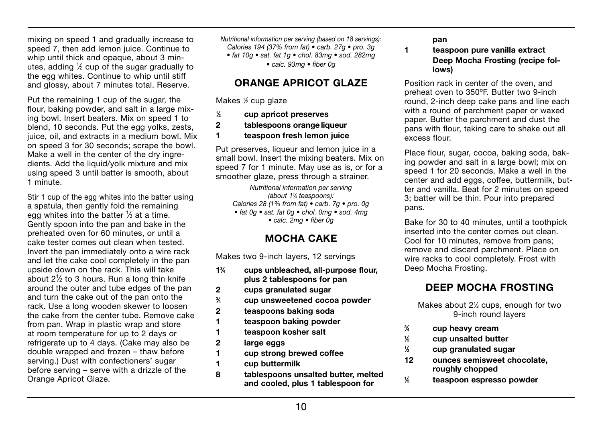mixing on speed 1 and gradually increase to speed 7, then add lemon juice. Continue to whip until thick and opaque, about 3 minutes, adding  $\frac{1}{2}$  cup of the sugar gradually to the egg whites. Continue to whip until stiff and glossy, about 7 minutes total. Reserve.

Put the remaining 1 cup of the sugar, the flour, baking powder, and salt in a large mixing bowl. Insert beaters. Mix on speed 1 to blend, 10 seconds. Put the egg yolks, zests, juice, oil, and extracts in a medium bowl. Mix on speed 3 for 30 seconds; scrape the bowl. Make a well in the center of the dry ingredients. Add the liquid/yolk mixture and mix using speed 3 until batter is smooth, about 1 minute.

Stir 1 cup of the egg whites into the batter using a spatula, then gently fold the remaining egg whites into the batter 1/3 at a time. Gently spoon into the pan and bake in the preheated oven for 60 minutes, or until a cake tester comes out clean when tested. Invert the pan immediately onto a wire rack and let the cake cool completely in the pan upside down on the rack. This will take about 2<sup>1</sup> ⁄2 to 3 hours. Run a long thin knife around the outer and tube edges of the pan and turn the cake out of the pan onto the rack. Use a long wooden skewer to loosen the cake from the center tube. Remove cake from pan. Wrap in plastic wrap and store at room temperature for up to 2 days or refrigerate up to 4 days. (Cake may also be double wrapped and frozen – thaw before serving.) Dust with confectioners' sugar before serving – serve with a drizzle of the Orange Apricot Glaze.

Nutritional information per serving (based on 18 servings): Calories 194 (37% from fat)  $\bullet$  carb. 27g  $\bullet$  pro. 3g  $\bullet$  fat 10q  $\bullet$  sat. fat 1q  $\bullet$  chol. 83mq  $\bullet$  sod. 282mq  $\bullet$  calc. 93mg  $\bullet$  fiber 0g

#### ORANGE APRICOT GLAZE

Makes 1/2 cup glaze

- $\frac{1}{2}$ ⁄2 cup apricot preserves
- 2 tablespoons orange liqueur
- 1 teaspoon fresh lemon juice

Put preserves, liqueur and lemon juice in a small bowl. Insert the mixing beaters. Mix on speed 7 for 1 minute. May use as is, or for a smoother glaze, press through a strainer.

Nutritional information per serving (about 1<sup>1</sup>/<sub>2</sub> teaspoons): Calories 28 (1% from fat)  $\bullet$  carb. 7g  $\bullet$  pro. 0g  $\bullet$  fat Og  $\bullet$  sat. fat Og  $\bullet$  chol. Omg  $\bullet$  sod. 4mg  $\bullet$  calc. 2mg  $\bullet$  fiber 0g

### MOCHA CAKE

Makes two 9-inch layers, 12 servings

- $1\frac{3}{4}$ ⁄4 cups unbleached, all-purpose flour, plus 2 tablespoons for pan
- 2 cups granulated sugar
- $\frac{3}{4}$ ⁄4 cup unsweetened cocoa powder
- 2 teaspoons baking soda
- 1 teaspoon baking powder
- 1 teaspoon kosher salt
- 2 large eggs
- 1 cup strong brewed coffee
- 1 cup buttermilk
- 8 tablespoons unsalted butter, melted and cooled, plus 1 tablespoon for

pan

1 teaspoon pure vanilla extract Deep Mocha Frosting (recipe follows)

Position rack in center of the oven, and preheat oven to 350ºF. Butter two 9-inch round, 2-inch deep cake pans and line each with a round of parchment paper or waxed paper. Butter the parchment and dust the pans with flour, taking care to shake out all excess flour.

Place flour, sugar, cocoa, baking soda, baking powder and salt in a large bowl; mix on speed 1 for 20 seconds. Make a well in the center and add eggs, coffee, buttermilk, butter and vanilla. Beat for 2 minutes on speed 3; batter will be thin. Pour into prepared pans.

Bake for 30 to 40 minutes, until a toothpick inserted into the center comes out clean. Cool for 10 minutes, remove from pans; remove and discard parchment. Place on wire racks to cool completely. Frost with Deep Mocha Frosting.

### DEEP MOCHA FROSTING

Makes about 2<sup>1/2</sup> cups, enough for two 9-inch round layers

- $\frac{3}{4}$ ⁄4 cup heavy cream
- $\frac{1}{2}$ ⁄2 cup unsalted butter
- $\frac{1}{2}$ ⁄2 cup granulated sugar
- 12 ounces semisweet chocolate, roughly chopped
- $\frac{1}{2}$ ⁄2 teaspoon espresso powder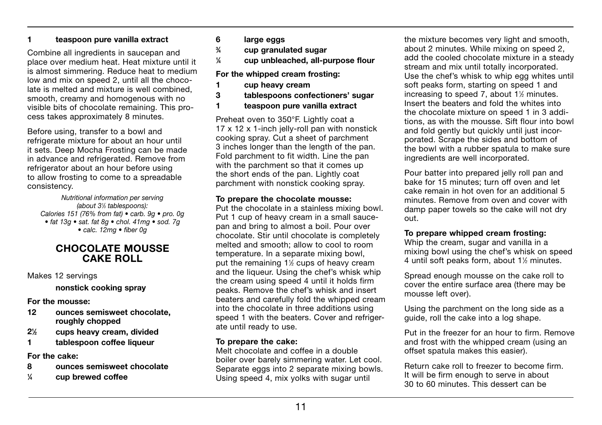#### 1 teaspoon pure vanilla extract

Combine all ingredients in saucepan and place over medium heat. Heat mixture until it is almost simmering. Reduce heat to medium low and mix on speed 2, until all the chocolate is melted and mixture is well combined, smooth, creamy and homogenous with no visible bits of chocolate remaining. This process takes approximately 8 minutes.

Before using, transfer to a bowl and refrigerate mixture for about an hour until it sets. Deep Mocha Frosting can be made in advance and refrigerated. Remove from refrigerator about an hour before using to allow frosting to come to a spreadable consistency.

Nutritional information per serving (about 3<sup>1/3</sup> tablespoons): Calories 151 (76% from fat) • carb. 9g • pro. 0g  $\bullet$  fat 13g  $\bullet$  sat, fat 8g  $\bullet$  chol, 41mg  $\bullet$  sod, 7g  $\bullet$  calc. 12mg  $\bullet$  fiber 0g

#### CHOCOLATE MOUSSE CAKE ROLL

Makes 12 servings

nonstick cooking spray

For the mousse:

- 12 ounces semisweet chocolate, roughly chopped
- $2<sup>1</sup>/<sub>2</sub>$ ⁄2 cups heavy cream, divided
- 1 tablespoon coffee liqueur

For the cake:

- 8 ounces semisweet chocolate
- $\frac{1}{4}$ ⁄4 cup brewed coffee
- 6 large eggs
- $\frac{3}{4}$ ⁄4 cup granulated sugar
- $\frac{1}{4}$ ⁄4 cup unbleached, all-purpose flour

#### For the whipped cream frosting:

- 1 cup heavy cream
- 3 tablespoons confectioners' sugar
- 1 teaspoon pure vanilla extract

Preheat oven to 350°F. Lightly coat a 17 x 12 x 1-inch jelly-roll pan with nonstick cooking spray. Cut a sheet of parchment 3 inches longer than the length of the pan. Fold parchment to fit width. Line the pan with the parchment so that it comes up the short ends of the pan. Lightly coat parchment with nonstick cooking spray.

#### To prepare the chocolate mousse:

Put the chocolate in a stainless mixing bowl. Put 1 cup of heavy cream in a small saucepan and bring to almost a boil. Pour over chocolate. Stir until chocolate is completely melted and smooth; allow to cool to room temperature. In a separate mixing bowl, put the remaining 1<sup>1/2</sup> cups of heavy cream and the liqueur. Using the chef's whisk whip the cream using speed 4 until it holds firm peaks. Remove the chef's whisk and insert beaters and carefully fold the whipped cream into the chocolate in three additions using speed 1 with the beaters. Cover and refrigerate until ready to use.

#### To prepare the cake:

Melt chocolate and coffee in a double boiler over barely simmering water. Let cool. Separate eggs into 2 separate mixing bowls. Using speed 4, mix yolks with sugar until

the mixture becomes very light and smooth, about 2 minutes. While mixing on speed 2, add the cooled chocolate mixture in a steady stream and mix until totally incorporated. Use the chef's whisk to whip egg whites until soft peaks form, starting on speed 1 and increasing to speed 7, about 1<sup>1/2</sup> minutes. Insert the beaters and fold the whites into the chocolate mixture on speed 1 in 3 additions, as with the mousse. Sift flour into bowl and fold gently but quickly until just incorporated. Scrape the sides and bottom of the bowl with a rubber spatula to make sure ingredients are well incorporated.

Pour batter into prepared jelly roll pan and bake for 15 minutes; turn off oven and let cake remain in hot oven for an additional 5 minutes. Remove from oven and cover with damp paper towels so the cake will not dry out.

#### To prepare whipped cream frosting:

Whip the cream, sugar and vanilla in a mixing bowl using the chef's whisk on speed 4 until soft peaks form, about 1<sup>1/2</sup> minutes.

Spread enough mousse on the cake roll to cover the entire surface area (there may be mousse left over).

Using the parchment on the long side as a guide, roll the cake into a log shape.

Put in the freezer for an hour to firm. Remove and frost with the whipped cream (using an offset spatula makes this easier).

Return cake roll to freezer to become firm. It will be firm enough to serve in about 30 to 60 minutes. This dessert can be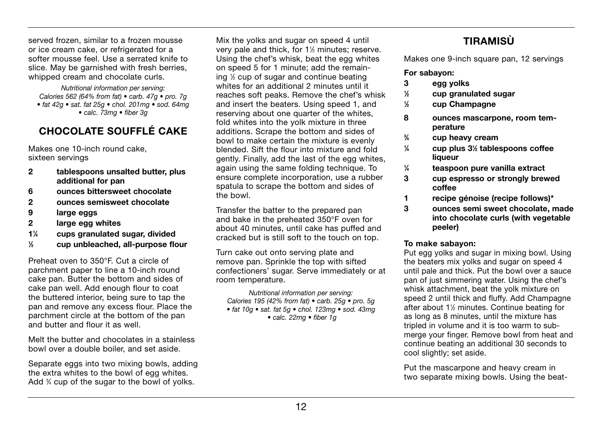served frozen, similar to a frozen mousse or ice cream cake, or refrigerated for a softer mousse feel. Use a serrated knife to slice. May be garnished with fresh berries, whipped cream and chocolate curls.

Nutritional information per serving: Calories 562 (64% from fat) • carb. 47g • pro. 7g  $\bullet$  fat 42q  $\bullet$  sat. fat 25q  $\bullet$  chol. 201mq  $\bullet$  sod. 64mq  $\bullet$  calc. 73mg  $\bullet$  fiber 3g

### CHOCOLATE SOUFFLÉ CAKE

Makes one 10-inch round cake, sixteen servings

- 2 tablespoons unsalted butter, plus additional for pan
- 6 ounces bittersweet chocolate
- 2 ounces semisweet chocolate
- 9 large eggs
- 2 large egg whites
- $1\frac{1}{4}$ ⁄4 cups granulated sugar, divided
- $\frac{1}{2}$ cup unbleached, all-purpose flour

Preheat oven to 350°F. Cut a circle of parchment paper to line a 10-inch round cake pan. Butter the bottom and sides of cake pan well. Add enough flour to coat the buttered interior, being sure to tap the pan and remove any excess flour. Place the parchment circle at the bottom of the pan and butter and flour it as well.

Melt the butter and chocolates in a stainless bowl over a double boiler, and set aside.

Separate eggs into two mixing bowls, adding the extra whites to the bowl of egg whites. Add <sup>3</sup>/<sub>4</sub> cup of the sugar to the bowl of yolks.

Mix the yolks and sugar on speed 4 until very pale and thick, for 11 ⁄2 minutes; reserve. Using the chef's whisk, beat the egg whites on speed 5 for 1 minute; add the remaining 1 ⁄2 cup of sugar and continue beating whites for an additional 2 minutes until it reaches soft peaks. Remove the chef's whisk and insert the beaters. Using speed 1, and reserving about one quarter of the whites, fold whites into the yolk mixture in three additions. Scrape the bottom and sides of bowl to make certain the mixture is evenly blended. Sift the flour into mixture and fold gently. Finally, add the last of the egg whites, again using the same folding technique. To ensure complete incorporation, use a rubber spatula to scrape the bottom and sides of the bowl.

Transfer the batter to the prepared pan and bake in the preheated 350°F oven for about 40 minutes, until cake has puffed and cracked but is still soft to the touch on top.

Turn cake out onto serving plate and remove pan. Sprinkle the top with sifted confectioners' sugar. Serve immediately or at room temperature.

Nutritional information per serving: Calories 195 (42% from fat)  $\bullet$  carb. 25g  $\bullet$  pro. 5g  $\bullet$  fat 10q  $\bullet$  sat. fat 5q  $\bullet$  chol. 123mq  $\bullet$  sod. 43mq  $\bullet$  calc. 22mg  $\bullet$  fiber 1g

### **TIRAMISÙ**

Makes one 9-inch square pan, 12 servings

#### For sabayon:

- 3 egg yolks
- 1 ⁄2 cup granulated sugar
- $\frac{1}{6}$ ⁄2 cup Champagne
- 8 ounces mascarpone, room temperature
- $\frac{3}{4}$ ⁄4 cup heavy cream
- $\frac{1}{4}$ ⁄4 cup plus 31 ⁄2 tablespoons coffee liqueur
- $\frac{1}{4}$ ⁄4 teaspoon pure vanilla extract
- 3 cup espresso or strongly brewed coffee
- 1 recipe génoise (recipe follows)\*
- 3 ounces semi sweet chocolate, made into chocolate curls (with vegetable peeler)

#### To make sabayon:

Put egg yolks and sugar in mixing bowl. Using the beaters mix yolks and sugar on speed 4 until pale and thick. Put the bowl over a sauce pan of just simmering water. Using the chef's whisk attachment, beat the yolk mixture on speed 2 until thick and fluffy. Add Champagne after about 1<sup>1/2</sup> minutes. Continue beating for as long as 8 minutes, until the mixture has tripled in volume and it is too warm to submerge your finger. Remove bowl from heat and continue beating an additional 30 seconds to cool slightly; set aside.

Put the mascarpone and heavy cream in two separate mixing bowls. Using the beat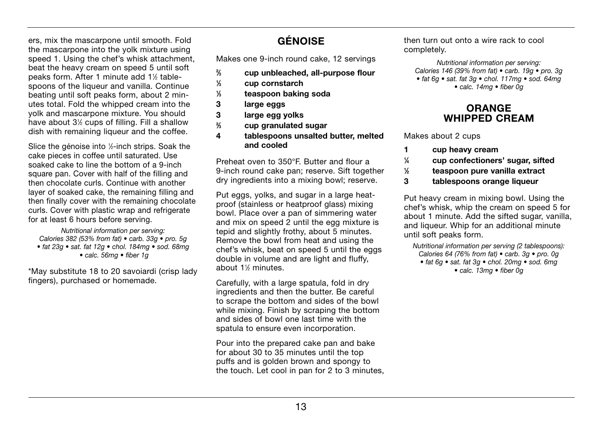ers, mix the mascarpone until smooth. Fold the mascarpone into the yolk mixture using speed 1. Using the chef's whisk attachment. beat the heavy cream on speed 5 until soft peaks form. After 1 minute add 1½ tablespoons of the liqueur and vanilla. Continue beating until soft peaks form, about 2 minutes total. Fold the whipped cream into the yolk and mascarpone mixture. You should have about 3½ cups of filling. Fill a shallow dish with remaining liqueur and the coffee.

Slice the génoise into 1/2-inch strips. Soak the cake pieces in coffee until saturated. Use soaked cake to line the bottom of a 9-inch square pan. Cover with half of the filling and then chocolate curls. Continue with another layer of soaked cake, the remaining filling and then finally cover with the remaining chocolate curls. Cover with plastic wrap and refrigerate for at least 6 hours before serving.

Nutritional information per serving: Calories 382 (53% from fat) • carb. 33g • pro. 5g  $\bullet$  fat 23a  $\bullet$  sat. fat 12a  $\bullet$  chol. 184ma  $\bullet$  sod. 68ma  $\bullet$  calc. 56mg  $\bullet$  fiber 1g

\*May substitute 18 to 20 savoiardi (crisp lady fingers), purchased or homemade.

### GÉNOISE

Makes one 9-inch round cake, 12 servings

- $\frac{2}{3}$ ⁄3 cup unbleached, all-purpose flour
- $\frac{1}{3}$ ⁄3 cup cornstarch
- $\frac{1}{2}$ ⁄3 teaspoon baking soda
- 3 large eggs
- 3 large egg yolks
- $\frac{2}{2}$ ⁄3 cup granulated sugar
- 4 tablespoons unsalted butter, melted and cooled

Preheat oven to 350°F. Butter and flour a 9-inch round cake pan; reserve. Sift together dry ingredients into a mixing bowl; reserve.

Put eggs, yolks, and sugar in a large heatproof (stainless or heatproof glass) mixing bowl. Place over a pan of simmering water and mix on speed 2 until the egg mixture is tepid and slightly frothy, about 5 minutes. Remove the bowl from heat and using the chef's whisk, beat on speed 5 until the eggs double in volume and are light and fluffy, about 1<sup>1/2</sup> minutes.

Carefully, with a large spatula, fold in dry ingredients and then the butter. Be careful to scrape the bottom and sides of the bowl while mixing. Finish by scraping the bottom and sides of bowl one last time with the spatula to ensure even incorporation.

Pour into the prepared cake pan and bake for about 30 to 35 minutes until the top puffs and is golden brown and spongy to the touch. Let cool in pan for 2 to 3 minutes,

then turn out onto a wire rack to cool completely.

Nutritional information per serving: Calories 146 (39% from fat)  $\bullet$  carb. 19g  $\bullet$  pro. 3g  $\bullet$  fat 6q  $\bullet$  sat. fat 3q  $\bullet$  chol. 117mq  $\bullet$  sod. 64mq  $\bullet$  calc. 14mg  $\bullet$  fiber 0q

### ORANGE WHIPPED CREAM

Makes about 2 cups

- 1 cup heavy cream
- $\frac{1}{4}$ cup confectioners' sugar, sifted
- $\frac{1}{2}$ ⁄2 teaspoon pure vanilla extract
- 3 tablespoons orange liqueur

Put heavy cream in mixing bowl. Using the chef's whisk, whip the cream on speed 5 for about 1 minute. Add the sifted sugar, vanilla, and liqueur. Whip for an additional minute until soft peaks form.

Nutritional information per serving (2 tablespoons). Calories 64 (76% from fat)  $\bullet$  carb. 3g  $\bullet$  pro. 0g • fat 6q • sat. fat 3q • chol. 20mq • sod. 6mq  $\bullet$  calc. 13mg  $\bullet$  fiber 0q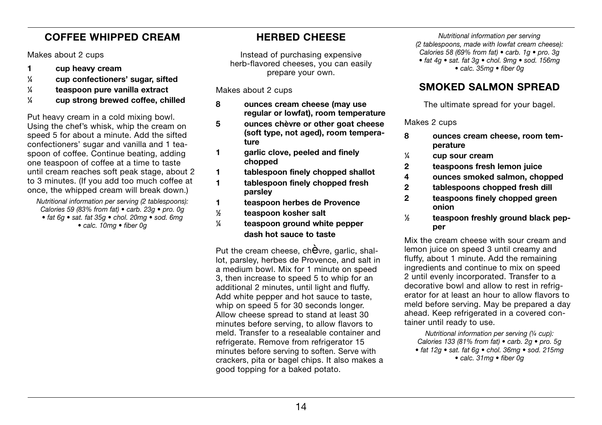### COFFEE WHIPPED CREAM

Makes about 2 cups

- 1 cup heavy cream
- $\frac{1}{4}$ ⁄4 cup confectioners' sugar, sifted
- $\frac{1}{4}$ ⁄4 teaspoon pure vanilla extract
- $\frac{1}{4}$ ⁄4 cup strong brewed coffee, chilled

Put heavy cream in a cold mixing bowl. Using the chef's whisk, whip the cream on speed 5 for about a minute. Add the sifted confectioners' sugar and vanilla and 1 teaspoon of coffee. Continue beating, adding one teaspoon of coffee at a time to taste until cream reaches soft peak stage, about 2 to 3 minutes. (If you add too much coffee at once, the whipped cream will break down.)

Nutritional information per serving (2 tablespoons): Calories 59 (83% from fat) • carb. 23g • pro. 0g • fat 6q · sat. fat 35q · chol. 20mq · sod. 6mq  $\bullet$  calc. 10mg  $\bullet$  fiber 0g

### HERBED CHEESE

Instead of purchasing expensive herb-flavored cheeses, you can easily prepare your own.

Makes about 2 cups

- 8 ounces cream cheese (may use regular or lowfat), room temperature
- 5 ounces chèvre or other goat cheese (soft type, not aged), room temperature
- 1 garlic clove, peeled and finely chopped
- 1 tablespoon finely chopped shallot
- 1 tablespoon finely chopped fresh parsley
- 1 teaspoon herbes de Provence
- $\frac{1}{2}$ ⁄2 teaspoon kosher salt
- $\frac{1}{4}$ teaspoon ground white pepper dash hot sauce to taste

Put the cream cheese, chèvre, garlic, shallot, parsley, herbes de Provence, and salt in a medium bowl. Mix for 1 minute on speed 3, then increase to speed 5 to whip for an additional 2 minutes, until light and fluffy. Add white pepper and hot sauce to taste, whip on speed 5 for 30 seconds longer. Allow cheese spread to stand at least 30 minutes before serving, to allow flavors to meld. Transfer to a resealable container and refrigerate. Remove from refrigerator 15 minutes before serving to soften. Serve with crackers, pita or bagel chips. It also makes a good topping for a baked potato.

Nutritional information per serving (2 tablespoons, made with lowfat cream cheese). Calories 58 (69% from fat)  $\bullet$  carb. 1g  $\bullet$  pro. 3g  $\bullet$  fat 4q  $\bullet$  sat. fat 3q  $\bullet$  chol. 9mq  $\bullet$  sod. 156mq  $\bullet$  calc. 35mg  $\bullet$  fiber 0g

### SMOKED SALMON SPREAD

The ultimate spread for your bagel.

Makes 2 cups

- 8 ounces cream cheese, room temperature
- $\frac{1}{4}$ ⁄4 cup sour cream
- 2 teaspoons fresh lemon juice
- 4 ounces smoked salmon, chopped
- 2 tablespoons chopped fresh dill
- 2 teaspoons finely chopped green onion
- $\frac{1}{2}$ ⁄2 teaspoon freshly ground black pepper

Mix the cream cheese with sour cream and lemon juice on speed 3 until creamy and fluffy, about 1 minute. Add the remaining ingredients and continue to mix on speed 2 until evenly incorporated. Transfer to a decorative bowl and allow to rest in refrigerator for at least an hour to allow flavors to meld before serving. May be prepared a day ahead. Keep refrigerated in a covered container until ready to use.

Nutritional information per serving (1/4 cup). Calories 133 (81% from fat)  $\bullet$  carb. 2g  $\bullet$  pro. 5g  $\bullet$  fat 12q  $\bullet$  sat. fat 6q  $\bullet$  chol. 36mq  $\bullet$  sod. 215mq  $\bullet$  calc. 31mg  $\bullet$  fiber 0g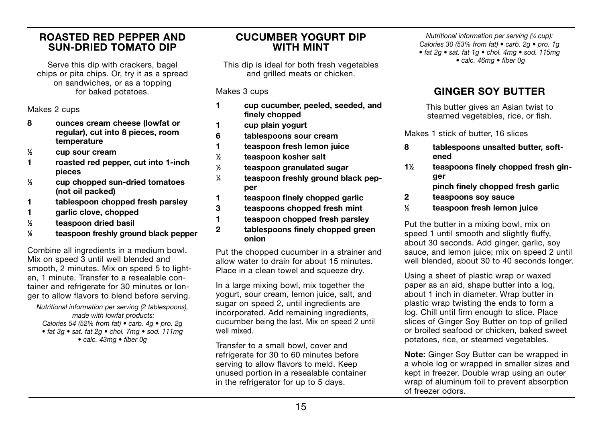#### ROASTED RED PEPPER AND SUN-DRIED TOMATO DIP

Serve this dip with crackers, bagel chips or pita chips. Or, try it as a spread on sandwiches, or as a topping for baked potatoes.

Makes 2 cups

- 8 ounces cream cheese (lowfat or regular), cut into 8 pieces, room temperature<br>
1/<sub>2</sub> cup sour cre
- ⁄2 cup sour cream
- 1 roasted red pepper, cut into 1-inch pieces
- $\frac{1}{2}$ ⁄3 cup chopped sun-dried tomatoes (not oil packed)
- 1 tablespoon chopped fresh parsley
- 1 garlic clove, chopped
- 1 ⁄2 teaspoon dried basil
- $\frac{1}{6}$ teaspoon freshly ground black pepper

Combine all ingredients in a medium bowl. Mix on speed 3 until well blended and smooth, 2 minutes. Mix on speed 5 to lighten, 1 minute. Transfer to a resealable container and refrigerate for 30 minutes or longer to allow flavors to blend before serving.

Nutritional information per serving (2 tablespoons), made with lowfat products: Calories 54 (52% from fat)  $\bullet$  carb. 4g  $\bullet$  pro. 2g  $\bullet$  fat 3q  $\bullet$  sat. fat 2q  $\bullet$  chol. 7mq  $\bullet$  sod. 111mq  $\bullet$  calc. 43mg  $\bullet$  fiber 0g

#### CUCUMBER YOGURT DIP WITH MINT

This dip is ideal for both fresh vegetables and grilled meats or chicken.

Makes 3 cups

- 1 cup cucumber, peeled, seeded, and finely chopped
- 1 cup plain yogurt
- 6 tablespoons sour cream
- 1 teaspoon fresh lemon juice
- $\frac{1}{2}$ ⁄2 teaspoon kosher salt
- 1 ⁄2 teaspoon granulated sugar
- $\frac{1}{4}$ ⁄4 teaspoon freshly ground black pepper
- 1 teaspoon finely chopped garlic
- 3 teaspoons chopped fresh mint
- 1 teaspoon chopped fresh parsley
- 2 tablespoons finely chopped green onion

Put the chopped cucumber in a strainer and allow water to drain for about 15 minutes. Place in a clean towel and squeeze dry.

In a large mixing bowl, mix together the yogurt, sour cream, lemon juice, salt, and sugar on speed 2, until ingredients are incorporated. Add remaining ingredients, cucumber being the last. Mix on speed 2 until well mixed.

Transfer to a small bowl, cover and refrigerate for 30 to 60 minutes before serving to allow flavors to meld. Keep unused portion in a resealable container in the refrigerator for up to 5 days.

Nutritional information per serving (¼ cup). Calories 30 (53% from fat)  $\bullet$  carb. 2g  $\bullet$  pro. 1g  $\bullet$  fat 2q  $\bullet$  sat. fat 1q  $\bullet$  chol. 4mq  $\bullet$  sod. 115mq  $\bullet$  calc. 46mg  $\bullet$  fiber 0g

### GINGER SOY BUTTER

This butter gives an Asian twist to steamed vegetables, rice, or fish.

Makes 1 stick of butter, 16 slices

- 8 tablespoons unsalted butter, softened
- $1\frac{1}{2}$ ⁄2 teaspoons finely chopped fresh ginger
	- pinch finely chopped fresh garlic
- 2 teaspoons soy sauce
- $\frac{1}{2}$ ⁄2 teaspoon fresh lemon juice

Put the butter in a mixing bowl, mix on speed 1 until smooth and slightly fluffy. about 30 seconds. Add ginger, garlic, soy sauce, and lemon juice; mix on speed 2 until well blended, about 30 to 40 seconds longer.

Using a sheet of plastic wrap or waxed paper as an aid, shape butter into a log, about 1 inch in diameter. Wrap butter in plastic wrap twisting the ends to form a log. Chill until firm enough to slice. Place slices of Ginger Soy Butter on top of grilled or broiled seafood or chicken, baked sweet potatoes, rice, or steamed vegetables.

Note: Ginger Soy Butter can be wrapped in a whole log or wrapped in smaller sizes and kept in freezer. Double wrap using an outer wrap of aluminum foil to prevent absorption of freezer odors.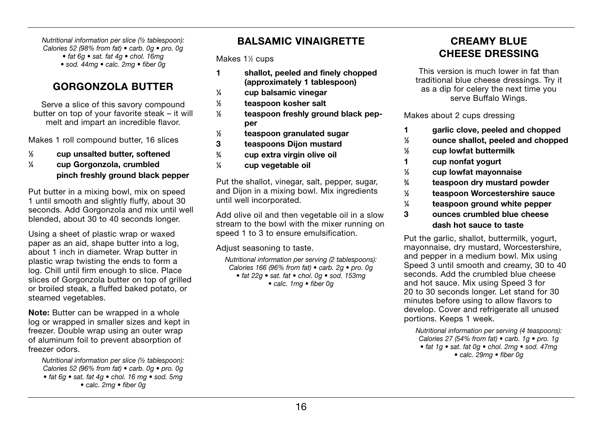Nutritional information per slice (½ tablespoon): Calories 52 (98% from fat) • carb. 0g • pro. 0g  $\bullet$  fat 6q  $\bullet$  sat. fat 4q  $\bullet$  chol. 16mq  $\bullet$  sod. 44mq  $\bullet$  calc. 2mq  $\bullet$  fiber 0q

### GORGONZOLA BUTTER

Serve a slice of this savory compound butter on top of your favorite steak – it will melt and impart an incredible flavor.

Makes 1 roll compound butter, 16 slices

- 1 ⁄2 cup unsalted butter, softened
- $\frac{1}{4}$ ⁄4 cup Gorgonzola, crumbled pinch freshly ground black pepper

Put butter in a mixing bowl, mix on speed 1 until smooth and slightly fluffy, about 30 seconds. Add Gorgonzola and mix until well blended, about 30 to 40 seconds longer.

Using a sheet of plastic wrap or waxed paper as an aid, shape butter into a log, about 1 inch in diameter. Wrap butter in plastic wrap twisting the ends to form a log. Chill until firm enough to slice. Place slices of Gorgonzola butter on top of grilled or broiled steak, a fluffed baked potato, or steamed vegetables.

Note: Butter can be wrapped in a whole log or wrapped in smaller sizes and kept in freezer. Double wrap using an outer wrap of aluminum foil to prevent absorption of freezer odors.

Nutritional information per slice (1/2 tablespoon): Calories 52 (96% from fat)  $\bullet$  carb. 0g  $\bullet$  pro. 0g  $\bullet$  fat 6g  $\bullet$  sat. fat 4g  $\bullet$  chol. 16 mg  $\bullet$  sod. 5mg  $\bullet$  calc. 2mg  $\bullet$  fiber 0g

### BALSAMIC VINAIGRETTE

Makes 1<sup>1/2</sup> cups

- 1 shallot, peeled and finely chopped (approximately 1 tablespoon)
- $\frac{1}{4}$ ⁄4 cup balsamic vinegar
- $\frac{1}{2}$ ⁄2 teaspoon kosher salt
- 1 ⁄2 teaspoon freshly ground black pepper
- $\frac{1}{2}$ ⁄2 teaspoon granulated sugar
- 3 teaspoons Dijon mustard
- $\frac{3}{4}$ ⁄4 cup extra virgin olive oil
- $\frac{1}{4}$ ⁄4 cup vegetable oil

Put the shallot, vinegar, salt, pepper, sugar, and Dijon in a mixing bowl. Mix ingredients until well incorporated.

Add olive oil and then vegetable oil in a slow stream to the bowl with the mixer running on speed 1 to 3 to ensure emulsification.

Adjust seasoning to taste.

Nutritional information per serving (2 tablespoons): Calories 166 (96% from fat)  $\bullet$  carb. 2g  $\bullet$  pro. 0g  $\bullet$  fat 22g  $\bullet$  sat. fat  $\bullet$  chol. 0g  $\bullet$  sod. 153mg  $\bullet$  calc. 1mg  $\bullet$  fiber 0q

### CREAMY BLUE CHEESE DRESSING

This version is much lower in fat than traditional blue cheese dressings. Try it as a dip for celery the next time you serve Buffalo Wings.

Makes about 2 cups dressing

- 1 garlic clove, peeled and chopped
- $\frac{1}{2}$ ⁄2 ounce shallot, peeled and chopped
- 1 ⁄2 cup lowfat buttermilk
- 1 cup nonfat yogurt
- $\frac{1}{2}$ ⁄3 cup lowfat mayonnaise
- $\frac{3}{4}$ ⁄4 teaspoon dry mustard powder
- $\frac{1}{2}$ ⁄2 teaspoon Worcestershire sauce
- $\frac{1}{4}$ teaspoon ground white pepper
- 3 ounces crumbled blue cheese dash hot sauce to taste

Put the garlic, shallot, buttermilk, yogurt, mayonnaise, dry mustard, Worcestershire, and pepper in a medium bowl. Mix using Speed 3 until smooth and creamy, 30 to 40 seconds. Add the crumbled blue cheese and hot sauce. Mix using Speed 3 for 20 to 30 seconds longer. Let stand for 30 minutes before using to allow flavors to develop. Cover and refrigerate all unused portions. Keeps 1 week.

Nutritional information per serving (4 teaspoons). Calories 27 (54% from fat)  $\bullet$  carb. 1g  $\bullet$  pro. 1g  $\bullet$  fat 1g  $\bullet$  sat. fat 0g  $\bullet$  chol. 2mg  $\bullet$  sod. 47mg  $\bullet$  calc. 29mg  $\bullet$  fiber 0g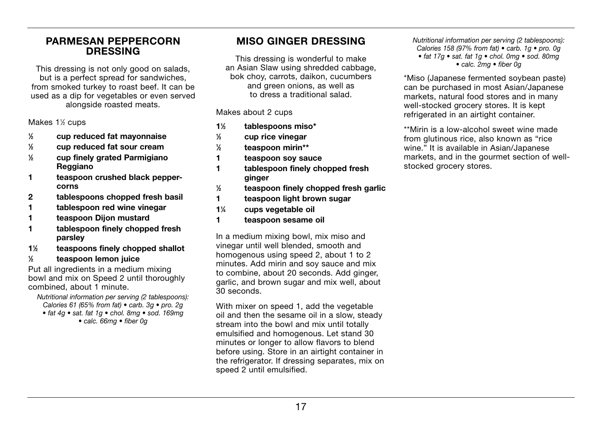#### PARMESAN PEPPERCORN DRESSING

This dressing is not only good on salads, but is a perfect spread for sandwiches, from smoked turkey to roast beef. It can be used as a dip for vegetables or even served alongside roasted meats.

Makes 1½ cups

- 1  $\frac{1}{2}$  cup reduced fat mayonnaise<br> $\frac{1}{2}$  cup reduced fat sour cream
- ⁄2 cup reduced fat sour cream
- $\frac{1}{6}$ ⁄2 cup finely grated Parmigiano Reggiano
- 1 teaspoon crushed black peppercorns
- 2 tablespoons chopped fresh basil
- 1 tablespoon red wine vinegar
- 1 teaspoon Dijon mustard
- 1 tablespoon finely chopped fresh parsley
- 11 ⁄2 teaspoons finely chopped shallot
- $\frac{1}{2}$ ⁄2 teaspoon lemon juice

Put all ingredients in a medium mixing bowl and mix on Speed 2 until thoroughly combined, about 1 minute.

Nutritional information per serving (2 tablespoons): Calories 61 (65% from fat) • carb. 3g • pro. 2g  $\bullet$  fat 4q  $\bullet$  sat. fat 1q  $\bullet$  chol. 8mq  $\bullet$  sod. 169mq  $\bullet$  calc. 66mg  $\bullet$  fiber 0g

### MISO GINGER DRESSING

This dressing is wonderful to make an Asian Slaw using shredded cabbage, bok choy, carrots, daikon, cucumbers and green onions, as well as to dress a traditional salad.

Makes about 2 cups

- 11 ⁄2 tablespoons miso\*  $\frac{1}{2}$ ⁄3 cup rice vinegar
- $\frac{1}{2}$ ⁄2 teaspoon mirin\*\*
- 1 teaspoon soy sauce
- 1 tablespoon finely chopped fresh ginger
- $\frac{1}{2}$ ⁄2 teaspoon finely chopped fresh garlic
- 1 teaspoon light brown sugar
- $1\%$ ⁄4 cups vegetable oil
- 1 teaspoon sesame oil

In a medium mixing bowl, mix miso and vinegar until well blended, smooth and homogenous using speed 2, about 1 to 2 minutes. Add mirin and soy sauce and mix to combine, about 20 seconds. Add ginger, garlic, and brown sugar and mix well, about 30 seconds.

With mixer on speed 1, add the vegetable oil and then the sesame oil in a slow, steady stream into the bowl and mix until totally emulsified and homogenous. Let stand 30 minutes or longer to allow flavors to blend before using. Store in an airtight container in the refrigerator. If dressing separates, mix on speed 2 until emulsified.

Nutritional information per serving (2 tablespoons). Calories 158 (97% from fat)  $\bullet$  carb. 1g  $\bullet$  pro. 0g • fat 17g • sat. fat 1g • chol. 0mg • sod. 80mg  $\bullet$  calc. 2mg  $\bullet$  fiber 0g

\*Miso (Japanese fermented soybean paste) can be purchased in most Asian/Japanese markets, natural food stores and in many well-stocked grocery stores. It is kept refrigerated in an airtight container.

\*\*Mirin is a low-alcohol sweet wine made from glutinous rice, also known as "rice wine." It is available in Asian/Japanese markets, and in the gourmet section of wellstocked grocery stores.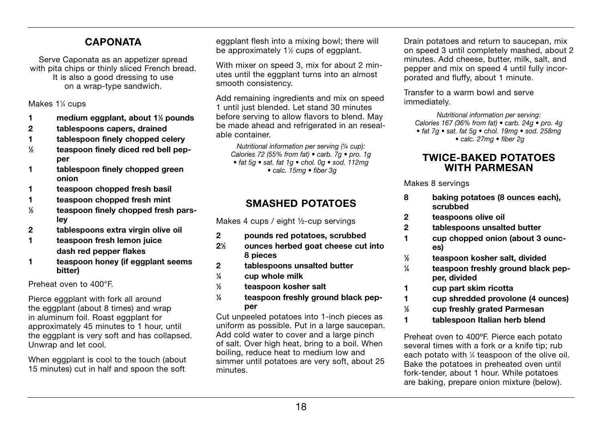### **CAPONATA**

Serve Caponata as an appetizer spread with pita chips or thinly sliced French bread. It is also a good dressing to use on a wrap-type sandwich.

Makes 1¼ cups

- 1 medium eggplant, about 1<sup>1/2</sup> pounds
- 2 tablespoons capers, drained
- 1 tablespoon finely chopped celery
- $\frac{1}{2}$ ⁄2 teaspoon finely diced red bell pepper
- 1 tablespoon finely chopped green onion
- 1 teaspoon chopped fresh basil
- 1 teaspoon chopped fresh mint
- 1 ⁄2 teaspoon finely chopped fresh parsley
- 2 tablespoons extra virgin olive oil
- 1 teaspoon fresh lemon juice dash red pepper flakes
- 1 teaspoon honey (if eggplant seems bitter)

Preheat oven to 400°F.

Pierce eggplant with fork all around the eggplant (about 8 times) and wrap in aluminum foil. Roast eggplant for approximately 45 minutes to 1 hour, until the eggplant is very soft and has collapsed. Unwrap and let cool.

When eggplant is cool to the touch (about 15 minutes) cut in half and spoon the soft

eggplant flesh into a mixing bowl; there will be approximately 1<sup>1/2</sup> cups of eggplant.

With mixer on speed 3, mix for about 2 minutes until the eggplant turns into an almost smooth consistency.

Add remaining ingredients and mix on speed 1 until just blended. Let stand 30 minutes before serving to allow flavors to blend. May be made ahead and refrigerated in an resealable container.

Nutritional information per serving (1/4 cup): Calories 72 (55% from fat)  $\bullet$  carb. 7g  $\bullet$  pro. 1g  $\bullet$  fat 5q  $\bullet$  sat, fat 1q  $\bullet$  chol, 0q  $\bullet$  sod, 112mq  $\bullet$  calc. 15mg  $\bullet$  fiber 3g

### SMASHED POTATOES

Makes 4 cups / eight ½-cup servings

- 2 pounds red potatoes, scrubbed
- $2<sup>1</sup>$ ⁄2 ounces herbed goat cheese cut into 8 pieces
- 2 tablespoons unsalted butter
- $\frac{1}{4}$ ⁄4 cup whole milk
- 1 ⁄2 teaspoon kosher salt
- $\frac{1}{4}$ ⁄4 teaspoon freshly ground black pepper

Cut unpeeled potatoes into 1-inch pieces as uniform as possible. Put in a large saucepan. Add cold water to cover and a large pinch of salt. Over high heat, bring to a boil. When boiling, reduce heat to medium low and simmer until potatoes are very soft, about 25 minutes.

Drain potatoes and return to saucepan, mix on speed 3 until completely mashed, about 2 minutes. Add cheese, butter, milk, salt, and pepper and mix on speed 4 until fully incorporated and fluffy, about 1 minute.

Transfer to a warm bowl and serve immediately.

Nutritional information per serving: Calories 167 (36% from fat)  $\bullet$  carb. 24g  $\bullet$  pro. 4g  $\bullet$  fat 7g  $\bullet$  sat, fat 5g  $\bullet$  chol, 19mg  $\bullet$  sod, 258mg  $\bullet$  calc. 27mg  $\bullet$  fiber 2g

### TWICE-BAKED POTATOES WITH PARMESAN

Makes 8 servings

- 8 baking potatoes (8 ounces each), scrubbed
- 2 teaspoons olive oil
- 2 tablespoons unsalted butter
- 1 cup chopped onion (about 3 ounces)
- $\frac{1}{2}$ ⁄2 teaspoon kosher salt, divided
- $\frac{1}{4}$ ⁄4 teaspoon freshly ground black pepper, divided
- 1 cup part skim ricotta
- 1 cup shredded provolone (4 ounces)
- $\frac{1}{2}$ ⁄2 cup freshly grated Parmesan
- 1 tablespoon Italian herb blend

Preheat oven to 400ºF. Pierce each potato several times with a fork or a knife tip; rub each potato with 1 ⁄4 teaspoon of the olive oil. Bake the potatoes in preheated oven until fork-tender, about 1 hour. While potatoes are baking, prepare onion mixture (below).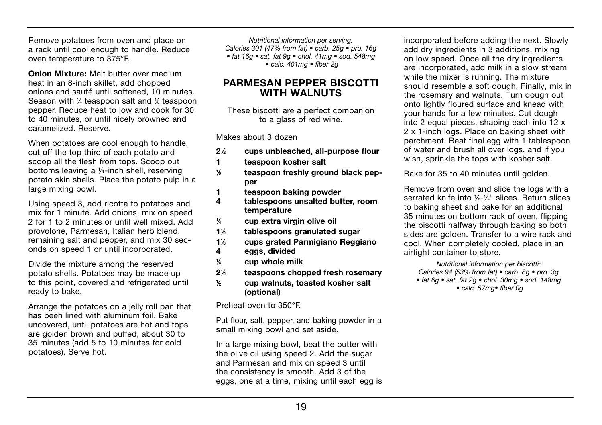Remove potatoes from oven and place on a rack until cool enough to handle. Reduce oven temperature to 375°F.

Onion Mixture: Melt butter over medium heat in an 8-inch skillet, add chopped onions and sauté until softened, 10 minutes. Season with 1/4 teaspoon salt and 1/8 teaspoon pepper. Reduce heat to low and cook for 30 to 40 minutes, or until nicely browned and caramelized. Reserve.

When potatoes are cool enough to handle. cut off the top third of each potato and scoop all the flesh from tops. Scoop out bottoms leaving a ¼-inch shell, reserving potato skin shells. Place the potato pulp in a large mixing bowl.

Using speed 3, add ricotta to potatoes and mix for 1 minute. Add onions, mix on speed 2 for 1 to 2 minutes or until well mixed. Add provolone, Parmesan, Italian herb blend, remaining salt and pepper, and mix 30 seconds on speed 1 or until incorporated.

Divide the mixture among the reserved potato shells. Potatoes may be made up to this point, covered and refrigerated until ready to bake.

Arrange the potatoes on a jelly roll pan that has been lined with aluminum foil. Bake uncovered, until potatoes are hot and tops are golden brown and puffed, about 30 to 35 minutes (add 5 to 10 minutes for cold potatoes). Serve hot.

Nutritional information per serving: Calories 301 (47% from fat)  $\bullet$  carb. 25g  $\bullet$  pro. 16g • fat 16g · sat. fat 9g · chol. 41mg · sod. 548mg  $\bullet$  calc. 401mg  $\bullet$  fiber 2q

#### PARMESAN PEPPER BISCOTTI WITH WAI NUTS

These biscotti are a perfect companion to a glass of red wine.

Makes about 3 dozen

- $2\frac{1}{2}$ ⁄2 cups unbleached, all-purpose flour
- 1 teaspoon kosher salt
- 1 ⁄2 teaspoon freshly ground black pepper
- 1 teaspoon baking powder<br>4 tablespoons unsalted but
- tablespoons unsalted butter, room temperature
- $\frac{1}{4}$ ⁄4 cup extra virgin olive oil
- $1\%$ ⁄2 tablespoons granulated sugar
- 11 ⁄3 cups grated Parmigiano Reggiano
- 4 eggs, divided
- $\frac{1}{4}$ ⁄4 cup whole milk
- $2\frac{1}{2}$ ⁄2 teaspoons chopped fresh rosemary
- 1 ⁄2 cup walnuts, toasted kosher salt (optional)

Preheat oven to 350°F.

Put flour, salt, pepper, and baking powder in a small mixing bowl and set aside.

In a large mixing bowl, beat the butter with the olive oil using speed 2. Add the sugar and Parmesan and mix on speed 3 until the consistency is smooth. Add 3 of the eggs, one at a time, mixing until each egg is

incorporated before adding the next. Slowly add dry ingredients in 3 additions, mixing on low speed. Once all the dry ingredients are incorporated, add milk in a slow stream while the mixer is running. The mixture should resemble a soft dough. Finally, mix in the rosemary and walnuts. Turn dough out onto lightly floured surface and knead with your hands for a few minutes. Cut dough into 2 equal pieces, shaping each into 12 x 2 x 1-inch logs. Place on baking sheet with parchment. Beat final egg with 1 tablespoon of water and brush all over logs, and if you wish, sprinkle the tops with kosher salt.

Bake for 35 to 40 minutes until golden.

Remove from oven and slice the logs with a serrated knife into 1/8-1/4" slices. Return slices to baking sheet and bake for an additional 35 minutes on bottom rack of oven, flipping the biscotti halfway through baking so both sides are golden. Transfer to a wire rack and cool. When completely cooled, place in an airtight container to store.

Nutritional information per biscotti: Calories 94 (53% from fat)  $\bullet$  carb. 8g  $\bullet$  pro. 3g  $\bullet$  fat 6q  $\bullet$  sat. fat 2q  $\bullet$  chol. 30mg  $\bullet$  sod. 148mg  $\bullet$  calc. 57mg $\bullet$  fiber 0q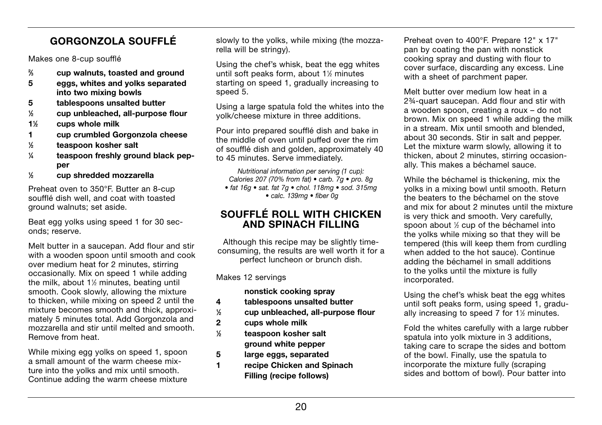# GORGONZOLA SOUFFLÉ

Makes one 8-cup soufflé

- $\frac{2}{3}$ ⁄3 cup walnuts, toasted and ground
- 5 eggs, whites and yolks separated into two mixing bowls
- 5 tablespoons unsalted butter
- 1 ⁄2 cup unbleached, all-purpose flour
- 11 ⁄2 cups whole milk
- 1 cup crumbled Gorgonzola cheese
- $\frac{1}{2}$ ⁄2 teaspoon kosher salt
- $\frac{1}{4}$ ⁄4 teaspoon freshly ground black pepper
- $\frac{1}{6}$ ⁄2 cup shredded mozzarella

Preheat oven to 350°F. Butter an 8-cup soufflé dish well, and coat with toasted ground walnuts; set aside.

Beat egg yolks using speed 1 for 30 seconds; reserve.

Melt butter in a saucepan. Add flour and stir with a wooden spoon until smooth and cook over medium heat for 2 minutes, stirring occasionally. Mix on speed 1 while adding the milk, about 1½ minutes, beating until smooth. Cook slowly, allowing the mixture to thicken, while mixing on speed 2 until the mixture becomes smooth and thick, approximately 5 minutes total. Add Gorgonzola and mozzarella and stir until melted and smooth. Remove from heat.

While mixing egg yolks on speed 1, spoon a small amount of the warm cheese mixture into the yolks and mix until smooth. Continue adding the warm cheese mixture

slowly to the yolks, while mixing (the mozzarella will be stringy).

Using the chef's whisk, beat the egg whites until soft peaks form, about 1<sup>1/2</sup> minutes starting on speed 1, gradually increasing to speed 5.

Using a large spatula fold the whites into the yolk/cheese mixture in three additions.

Pour into prepared soufflé dish and bake in the middle of oven until puffed over the rim of soufflé dish and golden, approximately 40 to 45 minutes. Serve immediately.

Nutritional information per serving (1 cup): Calories 207 (70% from fat)  $\bullet$  carb. 7g  $\bullet$  pro. 8g  $\bullet$  fat 16g  $\bullet$  sat. fat 7g  $\bullet$  chol. 118mg  $\bullet$  sod. 315mg  $\bullet$  calc. 139mg  $\bullet$  fiber 0q

### SOUFFLÉ ROLL WITH CHICKEN AND SPINACH FILLING

Although this recipe may be slightly timeconsuming, the results are well worth it for a perfect luncheon or brunch dish.

Makes 12 servings

nonstick cooking spray

- 4 tablespoons unsalted butter
- $\frac{1}{2}$ ⁄2 cup unbleached, all-purpose flour
- 2 cups whole milk
- $\frac{1}{2}$ ⁄2 teaspoon kosher salt ground white pepper
- 5 large eggs, separated
- 1 recipe Chicken and Spinach Filling (recipe follows)

Preheat oven to 400°F. Prepare 12" x 17" pan by coating the pan with nonstick cooking spray and dusting with flour to cover surface, discarding any excess. Line with a sheet of parchment paper.

Melt butter over medium low heat in a 2¾-quart saucepan. Add flour and stir with a wooden spoon, creating a roux – do not brown. Mix on speed 1 while adding the milk in a stream. Mix until smooth and blended, about 30 seconds. Stir in salt and pepper. Let the mixture warm slowly, allowing it to thicken, about 2 minutes, stirring occasionally. This makes a béchamel sauce.

While the béchamel is thickening, mix the yolks in a mixing bowl until smooth. Return the beaters to the béchamel on the stove and mix for about 2 minutes until the mixture is very thick and smooth. Very carefully, spoon about  $%$  cup of the béchamel into the yolks while mixing so that they will be tempered (this will keep them from curdling when added to the hot sauce). Continue adding the béchamel in small additions to the yolks until the mixture is fully incorporated.

Using the chef's whisk beat the egg whites until soft peaks form, using speed 1, gradually increasing to speed 7 for 1<sup>1/2</sup> minutes.

Fold the whites carefully with a large rubber spatula into yolk mixture in 3 additions. taking care to scrape the sides and bottom of the bowl. Finally, use the spatula to incorporate the mixture fully (scraping sides and bottom of bowl). Pour batter into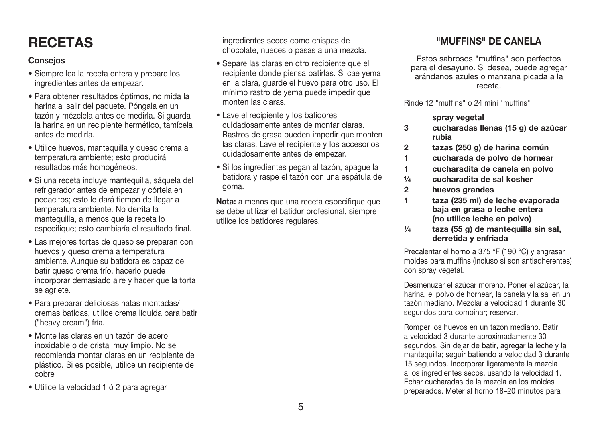# **RECETAS**

### **Conseios**

- Siempre lea la receta entera y prepare los ingredientes antes de empezar.
- · Para obtener resultados óptimos, no mida la harina al salir del paquete. Póngala en un tazón y mézclela antes de medirla. Si guarda la harina en un recipiente hermético, tamícela antes de medirla.
- · Utilice huevos, mantequilla y queso crema a temperatura ambiente: esto producirá resultados más homogéneos.
- · Si una receta incluye mantequilla, sáquela del refrigerador antes de empezar y córtela en pedacitos: esto le dará tiempo de llegar a temperatura ambiente. No derrita la mantequilla, a menos que la receta lo especifique: esto cambiaría el resultado final.
- Las mejores tortas de queso se preparan con huevos y queso crema a temperatura ambiente. Aunque su batidora es capaz de batir queso crema frío, hacerlo puede incorporar demasiado aire y hacer que la torta se agriete.
- Para preparar deliciosas natas montadas/ cremas batidas, utilice crema líquida para batir ("heavy cream") fría.
- · Monte las claras en un tazón de acero inoxidable o de cristal muy limpio. No se recomienda montar claras en un recipiente de plástico. Si es posible, utilice un recipiente de cobre
- · Utilice la velocidad 1 ó 2 para agregar

ingredientes secos como chispas de chocolate, nueces o pasas a una mezcla.

- · Separe las claras en otro recipiente que el recipiente donde piensa batirlas. Si cae vema en la clara, quarde el huevo para otro uso. El mínimo rastro de vema puede impedir que monten las claras.
- Lave el recipiente y los batidores cuidadosamente antes de montar claras. Rastros de grasa pueden impedir que monten las claras. Lave el recipiente y los accesorios cuidadosamente antes de empezar.
- · Si los ingredientes pegan al tazón, apaque la batidora y raspe el tazón con una espátula de goma.

Nota: a menos que una receta especifique que se debe utilizar el batidor profesional, siempre utilice los batidores regulares.

### "MUFFINS" DE CANELA

Estos sabrosos "muffins" son perfectos para el desayuno. Si desea, puede agregar arándanos azules o manzana picada a la receta.

Rinde 12 "muffins" o 24 mini "muffins"

sprav vegetal

- $\mathbf{R}$ cucharadas llenas (15 g) de azúcar ruhia
- $\overline{2}$ tazas (250 g) de harina común
- $\blacksquare$ cucharada de polvo de hornear
- $\blacksquare$ cucharadita de canela en polvo
- $1/a$ cucharadita de sal kosher
- $\overline{2}$ huevos grandes
- $\blacksquare$ taza (235 ml) de leche evaporada baja en grasa o leche entera (no utilice leche en polvo)
- taza (55 g) de mantequilla sin sal,  $1/a$ derretida y enfriada

Precalentar el horno a 375 °F (190 °C) y engrasar moldes para muffins (incluso si son antiadherentes) con spray yegetal.

Desmenuzar el azúcar moreno. Poner el azúcar, la harina, el polvo de hornear, la canela y la sal en un tazón mediano. Mezclar a velocidad 1 durante 30 segundos para combinar; reservar.

Romper los huevos en un tazón mediano. Batir a velocidad 3 durante aproximadamente 30 segundos. Sin dejar de batir, agregar la leche y la mantequilla: sequir batiendo a velocidad 3 durante 15 segundos. Incorporar ligeramente la mezcla a los ingredientes secos, usando la velocidad 1. Echar cucharadas de la mezcla en los moldes preparados. Meter al horno 18-20 minutos para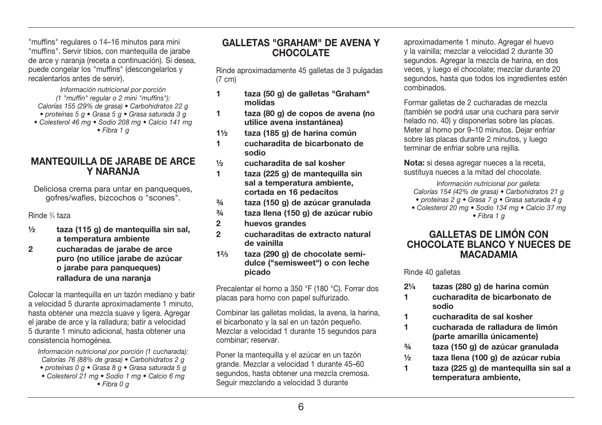"muffins" regulares o 14-16 minutos para mini "muffins". Servir tibios, con mantequilla de jarabe de arce y naranja (receta a continuación). Si desea. puede congelar los "muffins" (descongelarlos y recalentarlos antes de servir).

Información nutricional por porción  $(1$  "muffin" regular  $o$  2 mini "muffins"): Calorías 155 (29% de grasa) · Carbohidratos 22 g • proteínas 5 a • Grasa 5 a • Grasa saturada 3 a • Colesterol 46 mg · Sodio 208 mg · Calcio 141 mg

 $\bullet$  Fibra 1  $\alpha$ 

#### **MANTEQUILLA DE JARABE DE ARCE Y NARANJA**

Deliciosa crema para untar en panqueques. gofres/wafles, bizcochos o "scones".

Rinde 3/4 taza

- $1/2$ taza (115 g) de mantequilla sin sal, a temperatura ambiente
- $\overline{2}$ cucharadas de jarabe de arce puro (no utilice jarabe de azúcar o jarabe para panguegues) ralladura de una naranja

Colocar la manteguilla en un tazón mediano y batir a velocidad 5 durante aproximadamente 1 minuto. hasta obtener una mezcla suave y ligera. Agregar el jarabe de arce y la ralladura: batir a velocidad 5 durante 1 minuto adicional, hasta obtener una consistencia homogénea.

Información nutricional por porción (1 cucharada): Calorías 76 (88% de grasa) · Carbohidratos 2 g · proteínas 0 q · Grasa 8 q · Grasa saturada 5 q

- Colesterol 21 ma Sodio 1 ma Calcio 6 ma
- $\bullet$  Fibra 0  $\sigma$

#### **GAILETAS "GRAHAM" DE AVENA Y CHOCOLATE**

Rinde aproximadamente 45 galletas de 3 pulgadas  $(7 \text{ cm})$ 

- 1. taza (50 g) de galletas "Graham" molidas
- taza (80 g) de copos de avena (no 1. utilice avena instantánea)
- $11/2$ taza (185 g) de harina común
- cucharadita de bicarbonato de  $\blacksquare$ sodio
- $1/2$ cucharadita de sal kosher
- $\blacksquare$ taza (225 g) de mantequilla sin sal a temperatura ambiente. cortada en 16 pedacitos
- $3/4$ taza (150 g) de azúcar granulada
- $3/4$ taza llena (150 g) de azúcar rubio
- $\overline{2}$ huevos grandes
- $\overline{2}$ cucharaditas de extracto natural de vainilla
- taza (290 g) de chocolate semi- $12/3$ dulce ("semisweet") o con leche picado

Precalentar el horno a 350 °F (180 °C). Forrar dos placas para horno con papel sulfurizado.

Combinar las galletas molidas, la avena, la harina, el bicarbonato y la sal en un tazón pequeño. Mezclar a velocidad 1 durante 15 segundos para combinar: reservar.

Poner la manteguilla y el azúcar en un tazón grande. Mezclar a velocidad 1 durante 45-60 segundos, hasta obtener una mezcla cremosa. Sequir mezclando a velocidad 3 durante

aproximadamente 1 minuto. Agregar el huevo v la vainilla: mezclar a velocidad 2 durante 30 segundos. Agregar la mezcla de harina, en dos veces, y luego el chocolate: mezclar durante 20 segundos, hasta que todos los ingredientes estén combinados

Formar galletas de 2 cucharadas de mezcla (también se podrá usar una cuchara para servir helado no. 40) y disponerlas sobre las placas. Meter al horno por 9-10 minutos. Dejar enfriar sobre las placas durante 2 minutos, y luego terminar de enfriar sobre una reiilla.

Nota: si desea agregar nueces a la receta. sustituva nueces a la mitad del chocolate.

Información nutricional por galleta: Calorías 154 (42% de grasa) · Carbohidratos 21 g

- · proteínas 2 q · Grasa 7 q · Grasa saturada 4 q
- Colesterol 20 mg · Sodio 134 mg · Calcio 37 mg  $\bullet$  Fibra 1 a

#### **GALLETAS DE LIMÓN CON CHOCOLATE BLANCO Y NUECES DE MACADAMIA**

Rinde 40 galletas

- $2^{1/4}$ tazas (280 g) de harina común
- cucharadita de bicarbonato de  $\blacksquare$ sodio
- $\blacktriangleleft$ cucharadita de sal kosher
- cucharada de ralladura de limón  $\blacktriangleleft$ (parte amarilla únicamente)
- $\frac{3}{4}$ taza (150 g) de azúcar granulada
- $1/2$ taza llena (100 g) de azúcar rubia
- $\blacksquare$ taza (225 g) de manteguilla sin sal a temperatura ambiente.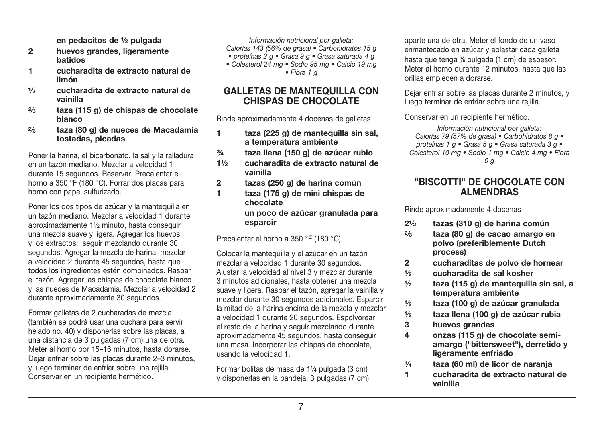en pedacitos de 1/2 pulgada

- $\mathfrak{p}$ huevos grandes, ligeramente hatidos
- $\blacksquare$ cucharadita de extracto natural de limón
- $1/2$ cucharadita de extracto natural de vainilla
- $2/3$ taza (115 g) de chispas de chocolate **blanco**
- $2/3$ taza (80 g) de nueces de Macadamia tostadas, picadas

Poner la harina, el bicarbonato, la sal y la ralladura en un tazón mediano. Mezclar a velocidad 1 durante 15 segundos, Reservar, Precalentar el horno a 350 °F (180 °C). Forrar dos placas para horno con papel sulfurizado.

Poner los dos tipos de azúcar y la mantequilla en un tazón mediano. Mezclar a velocidad 1 durante aproximadamente 11/2 minuto, hasta conseguir una mezcla suave y ligera. Agregar los huevos v los extractos: seguir mezclando durante 30 segundos. Agregar la mezcla de harina: mezclar a velocidad 2 durante 45 segundos, hasta que todos los ingredientes estén combinados. Raspar el tazón. Agregar las chispas de chocolate blanco v las nueces de Macadamia. Mezclar a velocidad 2 durante aproximadamente 30 segundos.

Formar galletas de 2 cucharadas de mezcla (también se podrá usar una cuchara para servir helado no. 40) y disponerlas sobre las placas, a una distancia de 3 pulgadas (7 cm) una de otra. Meter al horno por 15-16 minutos, hasta dorarse. Dejar enfriar sobre las placas durante 2-3 minutos. y luego terminar de enfriar sobre una reiilla. Conservar en un recipiente hermético.

Información nutricional por galleta:

Calorías 143 (56% de grasa) · Carbohidratos 15 g

- · proteínas 2 q · Grasa 9 q · Grasa saturada 4 q
- · Colesterol 24 mg · Sodio 95 mg · Calcio 19 mg  $\bullet$  Fibra 1  $\alpha$

#### **GALLETAS DE MANTEQUILLA CON CHISPAS DE CHOCOLATE**

Rinde aproximadamente 4 docenas de galletas

- taza (225 g) de mantequilla sin sal.  $\blacksquare$ a temperatura ambiente
- $3/4$ taza llena (150 g) de azúcar rubio
- $11/2$ cucharadita de extracto natural de vainilla
- tazas (250 g) de harina común  $\overline{2}$
- $\blacksquare$ taza (175 g) de mini chispas de chocolate un poco de azúcar granulada para

esparcir

Precalentar el horno a 350 °F (180 °C).

Colocar la mantequilla y el azúcar en un tazón mezclar a velocidad 1 durante 30 segundos. Ajustar la velocidad al nivel 3 y mezclar durante 3 minutos adicionales, hasta obtener una mezcla suave y ligera. Raspar el tazón, agregar la vainilla y mezclar durante 30 segundos adicionales. Esparcir la mitad de la harina encima de la mezcla y mezclar a velocidad 1 durante 20 segundos. Espolvorear el resto de la harina y seguir mezclando durante aproximadamente 45 segundos, hasta conseguir una masa. Incorporar las chispas de chocolate, usando la velocidad 1.

Formar bolitas de masa de 1¼ pulgada (3 cm) y disponerlas en la bandeja, 3 pulgadas (7 cm)

anarte una de otra. Meter el fondo de un vaso enmantecado en azúcar y aplastar cada galleta hasta que tenga % pulgada (1 cm) de espesor. Meter al horno durante 12 minutos, hasta que las orillas empiecen a dorarse.

Dejar enfriar sobre las placas durante 2 minutos, y luego terminar de enfriar sobre una reiilla.

Conservar en un recipiente hermético.

Información nutricional por galleta: Calorías 79 (57% de grasa) • Carbohidratos 8 g • proteínas 1 g · Grasa 5 g · Grasa saturada 3 g · Colesterol 10 mg · Sodio 1 mg · Calcio 4 mg · Fibra  $0<sub>a</sub>$ 

#### "BISCOTTI" DE CHOCOLATE CON **ALMENDRAS**

Rinde aproximadamente 4 docenas

- tazas (310 g) de harina común  $21/2$
- $2/3$ taza (80 g) de cação amargo en polvo (preferiblemente Dutch process)
- cucharaditas de polvo de hornear  $\overline{2}$
- $1/2$ cucharadita de sal kosher
- $1/2$ taza (115 g) de manteguilla sin sal, a temperatura ambiente
- taza (100 g) de azúcar granulada  $\frac{1}{2}$
- $1/2$ taza llena (100 g) de azúcar rubia
- 3 huevos grandes

1

- $\overline{\mathbf{4}}$ onzas (115 g) de chocolate semiamargo ("bittersweet"), derretido y ligeramente enfriado
- taza (60 ml) de licor de naranja  $\frac{1}{4}$ 
	- cucharadita de extracto natural de vainilla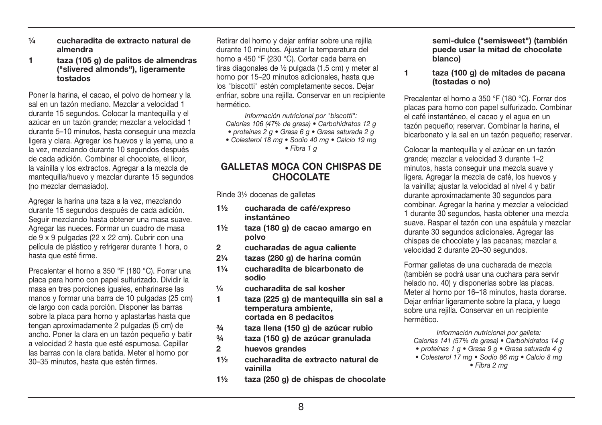- $1/a$ cucharadita de extracto natural de almendra
- taza (105 g) de palitos de almendras  $\blacksquare$ ("slivered almonds"). ligeramente tostados

Poner la harina, el cacao, el polvo de hornear y la sal en un tazón mediano. Mezclar a velocidad 1 durante 15 segundos. Colocar la manteguilla y el azúcar en un tazón grande: mezclar a velocidad 1 durante 5-10 minutos, hasta conseguir una mezcla ligera y clara. Agregar los huevos y la vema, uno a la vez, mezclando durante 10 segundos después de cada adición. Combinar el chocolate, el licor. la vainilla y los extractos. Agregar a la mezcla de mantequilla/huevo y mezclar durante 15 segundos (no mezclar demasiado).

Agregar la harina una taza a la vez, mezclando durante 15 segundos después de cada adición. Sequir mezclando hasta obtener una masa suave. Agregar las nueces. Formar un cuadro de masa de 9 x 9 pulgadas (22 x 22 cm). Cubrir con una película de plástico y refrigerar durante 1 hora, o hasta que esté firme.

Precalentar el horno a 350 °F (180 °C). Forrar una placa para horno con papel sulfurizado. Dividir la masa en tres porciones jouales, enharinarse las manos y formar una barra de 10 pulgadas (25 cm) de largo con cada porción. Disponer las barras sobre la placa para horno y aplastarlas hasta que tengan aproximadamente 2 pulgadas (5 cm) de ancho. Poner la clara en un tazón pequeño y batir a velocidad 2 hasta que esté espumosa. Cepillar las barras con la clara batida. Meter al horno por 30-35 minutos, hasta que estén firmes.

Retirar del horno y dejar enfriar sobre una rejilla durante 10 minutos. Ajustar la temperatura del horno a 450 °F (230 °C). Cortar cada barra en tiras diagonales de 1/2 pulgada (1,5 cm) y meter al horno por 15-20 minutos adicionales, hasta que los "biscotti" estén completamente secos. Dejar enfriar, sobre una reilla. Conservar en un recipiente hermético

Información nutricional por "biscotti": Calorías 106 (47% de grasa) · Carbohidratos 12 g · proteínas 2 g · Grasa 6 g · Grasa saturada 2 g · Colesterol 18 mg · Sodio 40 mg · Calcio 19 mg

 $\bullet$  Fibra 1  $\alpha$ 

#### **GALLETAS MOCA CON CHISPAS DE CHOCOLATE**

Rinde 31/2 docenas de galletas

- cucharada de café/expreso  $11/2$ instantáneo
- taza (180 g) de cação amargo en  $11/2$ polvo
- cucharadas de agua caliente  $\mathcal{P}$
- $21/a$ tazas (280 g) de harina común
- cucharadita de bicarbonato de  $11/a$ sodio
- $1/a$ cucharadita de sal kosher
- $\blacksquare$ taza (225 g) de manteguilla sin sal a temperatura ambiente. cortada en 8 pedacitos
- $3/4$ taza llena (150 g) de azúcar rubio
- $3/4$ taza (150 g) de azúcar granulada
- $\overline{2}$ huevos grandes
- $11/2$ cucharadita de extracto natural de vainilla
- taza (250 g) de chispas de chocolate  $1\frac{1}{2}$

semi-dulce ("semisweet") (también puede usar la mitad de chocolate blanco)

#### taza (100 g) de mitades de pacana  $\blacktriangleleft$ (tostadas o no)

Precalentar el horno a 350 °F (180 °C). Forrar dos placas para horno con papel sulfurizado. Combinar el café instantáneo, el cacao y el aqua en un tazón pequeño: reservar. Combinar la harina, el bicarbonato y la sal en un tazón pequeño: reservar.

Colocar la mantequilla y el azúcar en un tazón grande: mezclar a velocidad 3 durante 1-2 minutos, hasta conseguir una mezcla suave y ligera. Agregar la mezcla de café, los huevos y la vainilla: ajustar la velocidad al nivel 4 y batir durante aproximadamente 30 segundos para combinar. Agregar la harina y mezclar a velocidad 1 durante 30 segundos, hasta obtener una mezcla suave. Raspar el tazón con una espátula y mezclar durante 30 segundos adicionales. Agregar las chispas de chocolate y las pacanas: mezclar a velocidad 2 durante 20-30 segundos.

Formar galletas de una cucharada de mezcla (también se podrá usar una cuchara para servir helado no. 40) y disponerlas sobre las placas. Meter al horno por 16-18 minutos, hasta dorarse. Dejar enfriar ligeramente sobre la placa, y luego sobre una reilla. Conservar en un recipiente hermético

Información nutricional por galleta: Calorías 141 (57% de grasa) · Carbohidratos 14 g

- proteínas 1 g Grasa 9 g Grasa saturada 4 g
- Colesterol 17 mg · Sodio 86 mg · Calcio 8 mg • Fibra 2 ma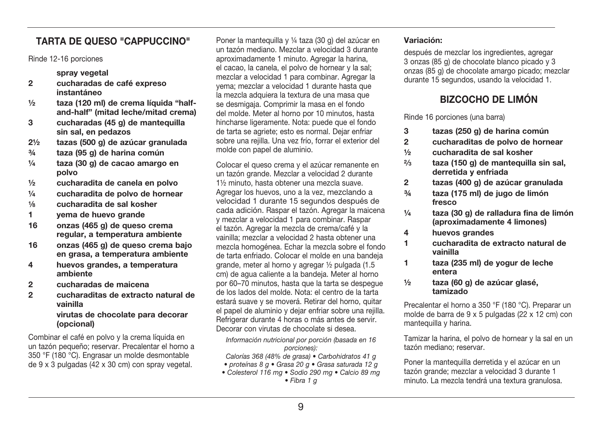### **TARTA DE QUESO "CAPPUCCINO"**

Rinde 12-16 porciones

#### sprav vegetal

- $\overline{2}$ cucharadas de café expreso instantáneo
- taza (120 ml) de crema líquida "half- $\frac{1}{2}$ and-half" (mitad leche/mitad crema)
- $\mathbf{R}$ cucharadas (45 g) de mantequilla sin sal. en pedazos
- $2^{1/2}$ tazas (500 g) de azúcar granulada
- $3/4$ taza (95 g) de harina común
- $1/a$ taza (30 g) de cação amargo en polvo
- cucharadita de canela en polvo  $\frac{1}{2}$
- $\frac{1}{4}$ cucharadita de polvo de hornear
- $\frac{1}{8}$ cucharadita de sal kosher
- $\blacksquare$ vema de huevo grande
- $16$ onzas (465 g) de queso crema regular, a temperatura ambiente
- $16$ onzas (465 g) de queso crema baio en grasa, a temperatura ambiente
- $\overline{\mathbf{4}}$ huevos grandes, a temperatura ambiente
- $\overline{2}$ cucharadas de maicena
- $\overline{2}$ cucharaditas de extracto natural de vainilla virutas de chocolate para decorar (opcional)

Combinar el café en polvo y la crema líquida en un tazón pequeño; reservar. Precalentar el horno a 350 °F (180 °C). Engrasar un molde desmontable de 9 x 3 pulgadas (42 x 30 cm) con spray vegetal.

Poner la mantequilla y 1/4 taza (30 g) del azúcar en un tazón mediano. Mezclar a velocidad 3 durante aproximadamente 1 minuto. Agregar la harina. el cacao. la canela, el polvo de hornear y la sal: mezclar a velocidad 1 para combinar. Agregar la vema: mezclar a velocidad 1 durante hasta que la mezcla adquiera la textura de una masa que se desmigaia. Comprimir la masa en el fondo del molde. Meter al horno por 10 minutos, hasta hincharse ligeramente. Nota: puede que el fondo de tarta se agriete: esto es normal. Dejar enfriar sobre una reilla. Una vez frío, forrar el exterior del molde con papel de aluminio.

Colocar el queso crema y el azúcar remanente en un tazón grande. Mezclar a velocidad 2 durante 11/2 minuto. hasta obtener una mezcla suave. Agregar los huevos, uno a la vez, mezclando a velocidad 1 durante 15 segundos después de cada adición. Raspar el tazón. Agregar la maicena v mezclar a velocidad 1 para combinar. Raspar el tazón. Agregar la mezcla de crema/café y la vainilla: mezclar a velocidad 2 hasta obtener una mezcla homogénea. Echar la mezcla sobre el fondo de tarta enfriado. Colocar el molde en una bandeia grande, meter al horno y agregar 1/2 pulgada (1.5) cm) de aqua caliente a la bandeia. Meter al horno por 60-70 minutos, hasta que la tarta se despeque de los lados del molde. Nota: el centro de la tarta estará suave y se moverá. Retirar del horno, quitar el papel de aluminio y dejar enfriar sobre una rejilla. Refrigerar durante 4 horas o más antes de servir. Decorar con virutas de chocolate si desea

Información nutricional por porción (basada en 16 porciones):

Calorías 368 (48% de grasa) · Carbohidratos 41 g

- · proteínas 8 q · Grasa 20 q · Grasa saturada 12 q
- · Colesterol 116 mg · Sodio 290 mg · Calcio 89 mg

#### Variación:

después de mezclar los ingredientes, agregar 3 onzas (85 g) de chocolate blanco picado y 3 onzas (85 g) de chocolate amargo picado; mezclar durante 15 segundos, usando la velocidad 1.

### **BIZCOCHO DE LIMÓN**

Rinde 16 porciones (una barra)

- tazas (250 g) de harina común 3
- $\overline{2}$ cucharaditas de polvo de hornear
- $1/2$ cucharadita de sal kosher
- $2/3$ taza (150 g) de mantequilla sin sal, derretida y enfriada
- tazas (400 g) de azúcar granulada  $\overline{2}$
- $3/4$ taza (175 ml) de jugo de limón fresco
- $1/a$ taza (30 g) de ralladura fina de limón (aproximadamente 4 limones)
- $\overline{\mathbf{A}}$ huevos grandes
- $\blacksquare$ cucharadita de extracto natural de vainilla
- taza (235 ml) de vogur de leche  $\mathbf{1}$ entera
- taza (60 g) de azúcar glasé.  $1/2$ tamizado

Precalentar el horno a 350 °F (180 °C). Preparar un molde de barra de 9 x 5 pulgadas (22 x 12 cm) con manteguilla y harina.

Tamizar la harina, el polvo de hornear y la sal en un tazón mediano: reservar.

Poner la mantequilla derretida y el azúcar en un tazón grande; mezclar a velocidad 3 durante 1 minuto. La mezcla tendrá una textura granulosa.

 $\bullet$  Fibra 1 a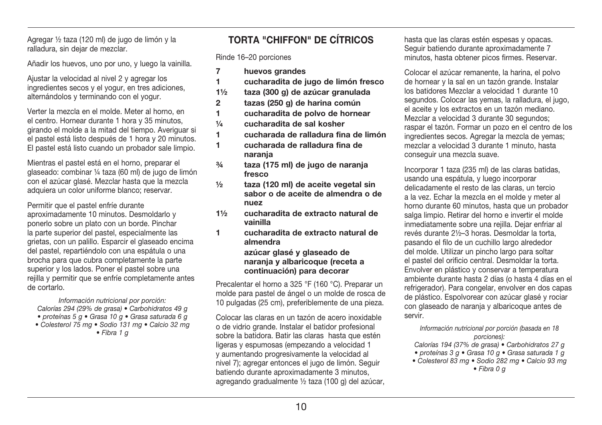Agregar 1/2 taza (120 ml) de jugo de limón y la ralladura, sin deiar de mezclar.

Añadir los huevos, uno por uno, y luego la vainilla.

Aiustar la velocidad al nivel 2 y agregar los ingredientes secos y el vogur, en tres adiciones. alternándolos y terminando con el vogur.

Verter la mezcla en el molde. Meter al horno, en el centro. Hornear durante 1 hora y 35 minutos. girando el molde a la mitad del tiempo. Averiguar si el pastel está listo después de 1 hora y 20 minutos. El pastel está listo cuando un probador sale limpio.

Mientras el pastel está en el horno, preparar el glaseado: combinar 1/4 taza (60 ml) de jugo de limón con el azúcar glasé. Mezclar hasta que la mezcla adquiera un color uniforme blanco: reservar.

Permitir que el pastel enfríe durante aproximadamente 10 minutos. Desmoldarlo y ponerlo sobre un plato con un borde. Pinchar la parte superior del pastel, especialmente las grietas, con un palillo. Esparcir el glaseado encima del pastel, repartiéndolo con una espátula o una brocha para que cubra completamente la parte superior y los lados. Poner el pastel sobre una rejilla y permitir que se enfríe completamente antes de cortarlo.

Información nutricional por porción: Calorías 294 (29% de grasa) • Carbohidratos 49 g · proteínas 5 a · Grasa 10 a · Grasa saturada 6 a • Colesterol 75 mg · Sodio 131 mg · Calcio 32 mg  $\bullet$  Fibra 1  $\alpha$ 

### TORTA "CHIFFON" DE CÍTRICOS

Rinde 16-20 porciones

- $\overline{7}$ huevos grandes
- 1. cucharadita de jugo de limón fresco
- $11/2$ taza (300 g) de azúcar granulada
- $\overline{2}$ tazas (250 g) de harina común
- $\blacksquare$ cucharadita de polvo de hornear
- $1/a$ cucharadita de sal kosher
- cucharada de ralladura fina de limón 1.
- $\blacksquare$ cucharada de ralladura fina de narania
- $3/4$ taza (175 ml) de jugo de naranja fresco
- $1/2$ taza (120 ml) de aceite vegetal sin sabor o de aceite de almendra o de nuez
- $1\frac{1}{2}$ cucharadita de extracto natural de vainilla
- $\blacksquare$ cucharadita de extracto natural de almendra

#### azúcar glasé y glaseado de narania y albaricoque (receta a continuación) para decorar

Precalentar el horno a 325 °F (160 °C). Preparar un molde para pastel de ángel o un molde de rosca de 10 pulgadas (25 cm), preferiblemente de una pieza.

Colocar las claras en un tazón de acero inoxidable o de vidrio grande. Instalar el batidor profesional sobre la batidora. Batir las claras hasta que estén ligeras y espumosas (empezando a velocidad 1 v aumentando progresiyamente la velocidad al nivel 7); agregar entonces el jugo de limón. Seguir batiendo durante aproximadamente 3 minutos, agregando gradualmente 1/2 taza (100 g) del azúcar, hasta que las claras estén espesas y opacas. Sequir batiendo durante aproximadamente 7 minutos, hasta obtener picos firmes. Reservar.

Colocar el azúcar remanente, la harina, el polvo de hornear y la sal en un tazón grande. Instalar los batidores Mezclar a velocidad 1 durante 10 segundos. Colocar las vemas, la ralladura, el jugo. el aceite y los extractos en un tazón mediano. Mezclar a velocidad 3 durante 30 segundos: raspar el tazón. Formar un pozo en el centro de los ingredientes secos. Agregar la mezcla de vemas: mezclar a velocidad 3 durante 1 minuto, hasta conseguir una mezcla suave.

Incorporar 1 taza (235 ml) de las claras batidas. usando una espátula, y luego incorporar delicadamente el resto de las claras, un tercio a la vez. Echar la mezcla en el molde y meter al horno durante 60 minutos, hasta que un probador salga limpio. Retirar del horno e invertir el molde inmediatamente sobre una reiilla. Deiar enfriar al revés durante 21/2-3 horas. Desmoldar la torta. pasando el filo de un cuchillo largo alrededor del molde. Utilizar un pincho largo para soltar el pastel del orificio central. Desmoldar la torta. Envolver en plástico y conservar a temperatura ambiente durante hasta 2 días (o hasta 4 días en el refrigerador). Para congelar, envolver en dos capas de plástico. Espolvorear con azúcar glasé y rociar con glaseado de naranja y albaricoque antes de servir.

Información nutricional por porción (basada en 18 porciones):

- Calorías 194 (37% de grasa) · Carbohidratos 27 g
- · proteínas 3 q · Grasa 10 q · Grasa saturada 1 q • Colesterol 83 mg · Sodio 282 mg · Calcio 93 mg  $\bullet$  Fibra 0  $\sigma$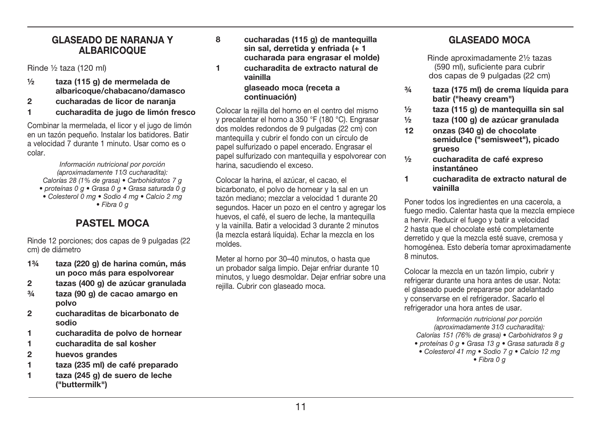#### GLASEADO DE NARANJA Y **ALBARICOQUE**

Binde 1/<sub>2</sub> taza (120 ml)

- ½ taza (115 g) de mermelada de albaricoque/chabacano/damasco
- 2 cucharadas de licor de naranja
- 1 cucharadita de jugo de limón fresco

Combinar la mermelada, el licor y el jugo de limón en un tazón pequeño. Instalar los batidores. Batir a velocidad 7 durante 1 minuto. Usar como es o colar

Información nutricional por porción (aproximadamente 11/3 cucharadita): Calorías 28 (1% de grasa) • Carbohidratos 7 g • proteínas 0 q · Grasa 0 q · Grasa saturada 0 q • Colesterol 0 mg · Sodio 4 mg · Calcio 2 mg  $\bullet$  Fibra 0  $\sigma$ 

### PASTEL MOCA

Rinde 12 porciones: dos capas de 9 pulgadas (22 cm) de diámetro

- 1¾ taza (220 g) de harina común, más un poco más para espolvorear
- 2 tazas (400 g) de azúcar granulada
- ¾ taza (90 g) de cacao amargo en polvo
- 2 cucharaditas de bicarbonato de sodio
- 1 cucharadita de polvo de hornear
- 1 cucharadita de sal kosher
- 2 huevos grandes
- 1 taza (235 ml) de café preparado
- 1 taza (245 g) de suero de leche ("buttermilk")

8 cucharadas (115 g) de mantequilla sin sal, derretida y enfriada (+ 1 cucharada para engrasar el molde) 1 cucharadita de extracto natural de vainilla glaseado moca (receta a continuación)

Colocar la reiilla del horno en el centro del mismo y precalentar el horno a 350 °F (180 °C). Engrasar dos moldes redondos de 9 pulgadas (22 cm) con mantequilla y cubrir el fondo con un círculo de papel sulfurizado o papel encerado. Engrasar el papel sulfurizado con mantequilla y espolvorear con harina, sacudiendo el exceso.

Colocar la harina, el azúcar, el cacao, el bicarbonato, el polvo de hornear y la sal en un tazón mediano: mezclar a velocidad 1 durante 20 segundos. Hacer un pozo en el centro y agregar los huevos, el café, el suero de leche, la mantequilla v la vainilla. Batir a velocidad 3 durante 2 minutos (la mezcla estará líquida). Echar la mezcla en los  $m$ nddes

Meter al horno por 30-40 minutos, o hasta que un probador salga limpio. Dejar enfriar durante 10 minutos, y luego desmoldar. Dejar enfriar sobre una reiilla. Cubrir con glaseado moca.

### GLASEADO MOCA

Rinde aproximadamente 21/2 tazas (590 ml), suficiente para cubrir dos capas de 9 pulgadas (22 cm)

- ¾ taza (175 ml) de crema líquida para batir ("heavy cream")
- ½ taza (115 g) de mantequilla sin sal
- ½ taza (100 g) de azúcar granulada
- 12 onzas (340 g) de chocolate semidulce ("semisweet"), picado grueso
- ½ cucharadita de café expreso instantáneo
- 1 cucharadita de extracto natural de vainilla

Poner todos los ingredientes en una cacerola, a fuego medio. Calentar hasta que la mezcla empiece a hervir. Reducir el fuego y batir a velocidad 2 hasta que el chocolate esté completamente derretido y que la mezcla esté suave, cremosa y homogénea. Esto debería tomar aproximadamente 8 minutos.

Colocar la mezcla en un tazón limpio, cubrir y refrigerar durante una hora antes de usar. Nota: el glaseado puede prepararse por adelantado y conservarse en el refrigerador. Sacarlo el refrigerador una hora antes de usar.

Información nutricional por porción (aproximadamente 31/3 cucharadita): Calorías 151 (76% de grasa)  $\bullet$  Carbohidratos 9 g • proteínas 0 g · Grasa 13 g · Grasa saturada 8 g  $\bullet$  Colesterol 41 mg  $\bullet$  Sodio 7 g  $\bullet$  Calcio 12 mg  $\bullet$  Fibra 0  $\sigma$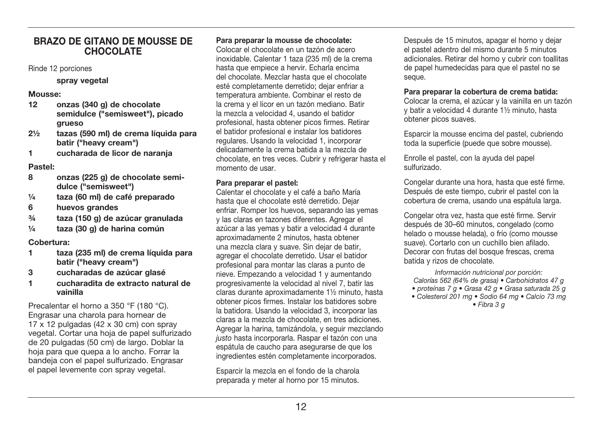#### **RRAZO DE GITANO DE MOLISSE DE** CHOCOL ATE

Rinde 12 porciones

#### spray vegetal

#### Mousse:

- $12$ onzas (340 g) de chocolate semidulce ("semisweet"), picado arueso
- tazas (590 ml) de crema líquida para  $2\frac{1}{2}$ batir ("heavy cream")
- $\blacksquare$ cucharada de licor de narania

#### Pastel:

- onzas (225 g) de chocolate semi-8 dulce ("semisweet")
- taza (60 ml) de café preparado  $\frac{1}{4}$
- 6 huevos grandes
- $3/4$ taza (150 g) de azúcar granulada
- $1/a$ taza (30 g) de harina común

#### Cobertura:

- $\blacksquare$ taza (235 ml) de crema líquida para batir ("heavy cream")
- 3 cucharadas de azúcar glasé
- $\blacksquare$ cucharadita de extracto natural de vainilla

Precalentar el horno a 350 °F (180 °C). Engrasar una charola para hornear de  $17 \times 12$  pulgadas (42 x 30 cm) con spray vegetal. Cortar una hoja de papel sulfurizado de 20 pulgadas (50 cm) de Jargo. Doblar la hoja para que quepa a lo ancho. Forrar la bandeia con el papel sulfurizado. Engrasar el papel levemente con spray vegetal.

#### Para preparar la mousse de chocolate:

Colocar el chocolate en un tazón de acero inoxidable. Calentar 1 taza (235 ml) de la crema hasta que empiece a hervir. Echarla encima del chocolate. Mezclar hasta que el chocolate esté completamente derretido: dejar enfriar a temperatura ambiente. Combinar el resto de la crema y el licor en un tazón mediano. Batir la mezcla a velocidad 4, usando el batidor profesional, hasta obtener picos firmes. Retirar el batidor profesional e instalar los batidores regulares. Usando la velocidad 1. incorporar delicadamente la crema batida a la mezcla de chocolate, en tres veces. Cubrir y refrigerar hasta el momento de usar

#### Para preparar el pastel:

Calentar el chocolate y el café a baño María hasta que el chocolate esté derretido. Dejar enfriar. Romper los huevos, separando las vemas v las claras en tazones diferentes. Agregar el azúcar a las vemas y batir a velocidad 4 durante aproximadamente 2 minutos, hasta obtener una mezcla clara y suave. Sin deiar de batir. agregar el chocolate derretido. Usar el batidor profesional para montar las claras a punto de nieve. Empezando a velocidad 1 y aumentando progresivamente la velocidad al nivel 7, batir las claras durante aproximadamente 11/2 minuto, hasta obtener picos firmes. Instalar los batidores sobre la batidora. Usando la velocidad 3, incorporar las claras a la mezcla de chocolate, en tres adiciones. Agregar la harina, tamizándola, y seguir mezclando justo hasta incorporarla. Raspar el tazón con una espátula de caucho para asegurarse de que los ingredientes estén completamente incorporados.

Esparcir la mezcla en el fondo de la charola preparada y meter al horno por 15 minutos.

Después de 15 minutos, apagar el horno y dejar el pastel adentro del mismo durante 5 minutos adicionales. Retirar del horno y cubrir con toallitas de papel humedecidas para que el pastel no se seque.

#### Para preparar la cobertura de crema batida:

Colocar la crema, el azúcar y la vainilla en un tazón v batir a velocidad 4 durante 11/2 minuto, hasta obtener picos suaves.

Esparcir la mousse encima del pastel, cubriendo toda la superficie (puede que sobre mousse).

Enrolle el pastel, con la avuda del papel sulfurizado

Congelar durante una hora, hasta que esté firme. Después de este tiempo, cubrir el pastel con la cobertura de crema, usando una espátula larga.

Congelar otra vez, hasta que esté firme. Servir después de 30-60 minutos, congelado (como helado o mousse helada), o frío (como mousse suave). Cortarlo con un cuchillo bien afilado. Decorar con frutas del bosque frescas, crema batida y rizos de chocolate.

Información nutricional por porción: Calorías 562 (64% de grasa) · Carbohidratos 47 g · proteínas 7 g · Grasa 42 g · Grasa saturada 25 g • Colesterol 201 ma · Sodio 64 ma · Calcio 73 ma  $\bullet$  Fibra 3  $\alpha$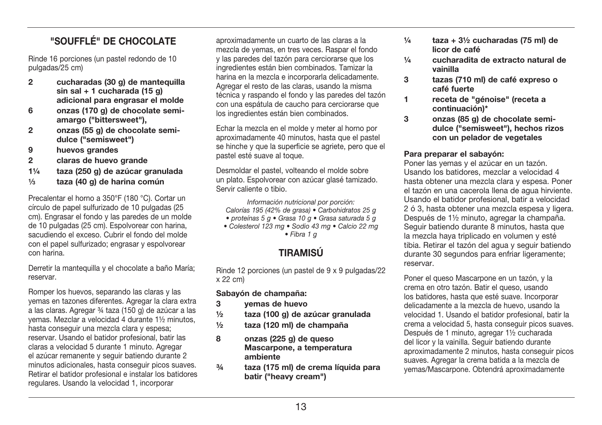### "SOUFFLE" DE CHOCOLATE

Binde 16 porciones (un pastel redondo de 10 pulgadas/25 cm)

- $\overline{2}$ cucharadas (30 g) de mantequilla  $sin sal + 1 cucharada (15a)$ adicional para engrasar el molde
- 6 onzas (170 g) de chocolate semiamargo ("bittersweet").
- $\overline{2}$ onzas (55 g) de chocolate semidulce ("semisweet")
- 9 huevos grandes
- $\overline{2}$ claras de huevo grande
- $1\frac{1}{4}$ taza (250 g) de azúcar granulada
- taza (40 g) de harina común  $1/2$

Precalentar el horno a 350°F (180 °C). Cortar un círculo de papel sulfurizado de 10 pulgadas (25 cm). Engrasar el fondo y las paredes de un molde de 10 pulgadas (25 cm). Espolvorear con harina. sacudiendo el exceso. Cubrir el fondo del molde con el papel sulfurizado: engrasar y espolvorear con harina

Derretir la mantequilla y el chocolate a baño María: reservar

Romper los huevos, separando las claras y las vemas en tazones diferentes. Agregar la clara extra a las claras. Agregar 34 taza (150 g) de azúcar a las vemas. Mezclar a velocidad 4 durante 11/2 minutos. hasta conseguir una mezcla clara y espesa: reservar. Usando el batidor profesional, batir las claras a velocidad 5 durante 1 minuto. Agregar el azúcar remanente y seguir batiendo durante 2 minutos adicionales, hasta conseguir picos suaves. Retirar el batidor profesional e instalar los batidores regulares. Usando la velocidad 1. incorporar

aproximadamente un cuarto de las claras a la mezcla de vemas, en tres veces. Raspar el fondo y las paredes del tazón para cerciorarse que los ingredientes están bien combinados. Tamizar la harina en la mezcla e incorporarla delicadamente. Agregar el resto de las claras, usando la misma técnica y raspando el fondo y las paredes del tazón con una espátula de caucho para cerciorarse que los ingredientes están bien combinados.

Echar la mezcla en el molde y meter al horno por aproximadamente 40 minutos, hasta que el pastel se hinche y que la superficie se agriete, pero que el pastel esté suave al toque.

Desmoldar el pastel, volteando el molde sobre un plato. Espolvorear con azúcar glasé tamizado. Servir caliente o tibio.

Información nutricional por porción: Calorías 195 (42% de grasa) • Carbohidratos 25 g

- proteínas 5 g · Grasa 10 g · Grasa saturada 5 g
- · Colesterol 123 mg · Sodio 43 mg · Calcio 22 mg  $\bullet$  Fibra 1  $\alpha$

### **TIRAMISI**I

Rinde 12 porciones (un pastel de 9 x 9 pulgadas/22 x 22 cm)

Sabayón de champaña:

- 3 vemas de huevo
- $\frac{1}{2}$ taza (100 g) de azúcar granulada
- $1/2$ taza (120 ml) de champaña
- $\mathbf{a}$ onzas (225 g) de queso Mascarpone, a temperatura ambiente
- $3/4$ taza (175 ml) de crema líquida para batir ("heavy cream")
- $1/a$ taza +  $3\frac{1}{2}$  cucharadas (75 ml) de licor de café
- cucharadita de extracto natural de  $1/a$ vainilla
- $\mathbf{3}$ tazas (710 ml) de café expreso o café fuerte
- $\blacksquare$ receta de "génoise" (receta a continuación)\*
- 3 onzas (85 g) de chocolate semidulce ("semisweet"), hechos rizos con un pelador de vegetales

#### Para preparar el sabavón:

Poner las vemas y el azúcar en un tazón. Usando los batidores, mezclar a velocidad 4 hasta obtener una mezcla clara y espesa. Poner el tazón en una cacerola llena de aqua hirviente. Usando el batidor profesional, batir a velocidad 2 ó 3, hasta obtener una mezcla espesa y ligera. Después de 11/2 minuto, agregar la champaña. Sequir batiendo durante 8 minutos, hasta que la mezcla hava triplicado en volumen y esté tibia. Retirar el tazón del agua y seguir batiendo durante 30 segundos para enfriar ligeramente: reservar.

Poner el queso Mascarpone en un tazón, y la crema en otro tazón. Batir el queso, usando los batidores, hasta que esté suave, Incorporar delicadamente a la mezcla de huevo, usando la velocidad 1. Usando el batidor profesional, batir la crema a velocidad 5, hasta conseguir picos suaves. Después de 1 minuto, agregar 11/2 cucharada del licor y la vainilla. Seguir batiendo durante aproximadamente 2 minutos, hasta conseguir picos suaves. Agregar la crema batida a la mezcla de vemas/Mascarpone, Obtendrá aproximadamente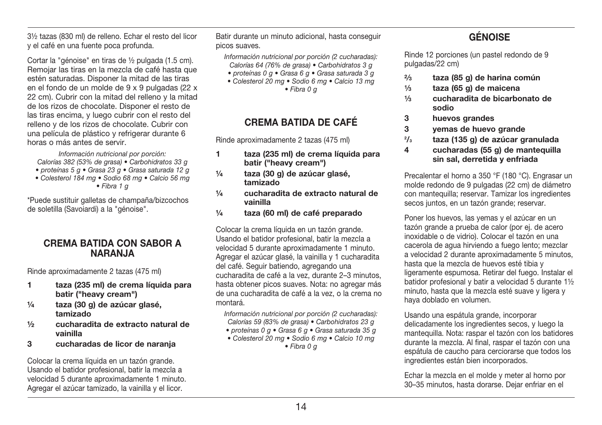31/2 tazas (830 ml) de relleno. Echar el resto del licor v el café en una fuente poca profunda.

Cortar la "génoise" en tiras de 1/2 pulgada (1.5 cm). Remoiar las tiras en la mezcla de café hasta que estén saturadas. Disponer la mitad de las tiras en el fondo de un molde de 9 x 9 pulgadas (22 x 22 cm). Cubrir con la mitad del relleno y la mitad de los rizos de chocolate. Disponer el resto de las tiras encima, y luego cubrir con el resto del relleno y de los rizos de chocolate. Cubrir con una película de plástico y refrigerar durante 6 horas o más antes de servir.

Información nutricional por porción: Calorías 382 (53% de grasa) · Carbohidratos 33 g · proteínas 5 g · Grasa 23 g · Grasa saturada 12 g · Colesterol 184 mg · Sodio 68 mg · Calcio 56 mg  $\bullet$  Fibra 1  $\alpha$ 

\*Puede sustituir galletas de champaña/bizcochos de soletilla (Savoiardi) a la "génoise".

#### **CREMA BATIDA CON SABOR A NARAN.IA**

Rinde aproximadamente 2 tazas (475 ml)

- $\mathbf{1}$ taza (235 ml) de crema líquida para batir ("heavy cream")
- taza (30 g) de azúcar glasé,  $\frac{1}{4}$ tamizado
- $1/2$ cucharadita de extracto natural de vainilla
- $\mathbf{3}$ cucharadas de licor de narania

Colocar la crema líquida en un tazón grande. Usando el batidor profesional, batir la mezcla a velocidad 5 durante aproximadamente 1 minuto. Agregar el azúcar tamizado, la vainilla y el licor.

Batir durante un minuto adicional, hasta conseguir picos suaves.

Información nutricional por porción (2 cucharadas):

- Calorías 64 (76% de grasa) Carbohidratos 3 g
- · proteínas 0 g · Grasa 6 g · Grasa saturada 3 g • Colesterol 20 mg · Sodio 6 mg · Calcio 13 mg
	- $\bullet$  Fibra 0  $\sigma$

### **CREMA BATIDA DE CAFÉ**

Rinde aproximadamente 2 tazas (475 ml)

- taza (235 ml) de crema líquida para 1. batir ("heavy cream")
- $1/a$ taza (30 g) de azúcar glasé. tamizado
- $1/a$ cucharadita de extracto natural de vainilla
- taza (60 ml) de café preparado  $1/a$

Colocar la crema líquida en un tazón grande. Usando el batidor profesional, batir la mezcla a velocidad 5 durante aproximadamente 1 minuto. Agregar el azúcar glasé, la vainilla y 1 cucharadita del café. Seguir batiendo, agregando una cucharadita de café a la vez. durante 2-3 minutos. hasta obtener picos suaves. Nota: no agregar más de una cucharadita de café a la vez, o la crema no montará.

Información nutricional por porción (2 cucharadas): Calorías 59 (83% de grasa) · Carbohidratos 23 g

- · proteínas 0 q · Grasa 6 q · Grasa saturada 35 q
- Colesterol 20 mg · Sodio 6 mg · Calcio 10 mg  $\bullet$  Fibra 0  $\alpha$

# **GÉNOISE**

Rinde 12 porciones (un pastel redondo de 9 pulgadas/22 cm)

- taza (85 g) de harina común  $2/3$
- taza (65 g) de maicena  $1/2$
- $1/2$ cucharadita de bicarbonato de sodio
- huevos grandes 3
- 3 vemas de huevo grande
- $\frac{2}{3}$ taza (135 g) de azúcar granulada
- 4 cucharadas (55 g) de mantequilla sin sal, derretida y enfriada

Precalentar el horno a 350 °F (180 °C). Engrasar un molde redondo de 9 pulgadas (22 cm) de diámetro con mantequilla: reservar. Tamizar los ingredientes secos juntos, en un tazón grande: reservar.

Poner los huevos, las yemas y el azúcar en un tazón grande a prueba de calor (por ej. de acero inoxidable o de vidrio). Colocar el tazón en una cacerola de agua hirviendo a fuego lento: mezclar a velocidad 2 durante aproximadamente 5 minutos. hasta que la mezcla de huevos esté tibia y ligeramente espumosa. Retirar del fuego. Instalar el batidor profesional y batir a velocidad 5 durante 11/2 minuto, hasta que la mezcla esté suave y ligera y hava doblado en volumen.

Usando una espátula grande, incorporar delicadamente los ingredientes secos, y luego la mantequilla. Nota: raspar el tazón con los batidores durante la mezcla. Al final, raspar el tazón con una espátula de caucho para cerciorarse que todos los ingredientes están bien incorporados.

Echar la mezcla en el molde y meter al horno por 30-35 minutos, hasta dorarse. Deiar enfriar en el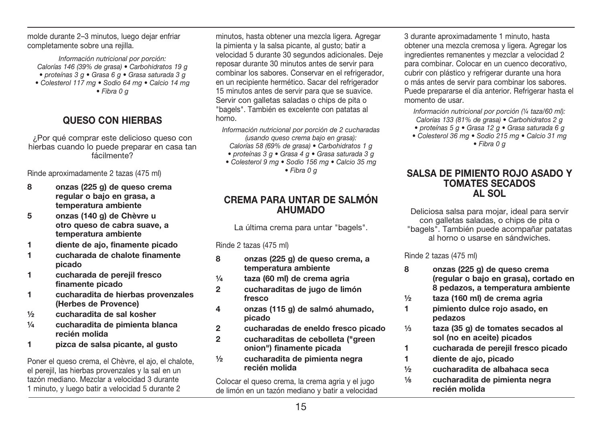molde durante 2-3 minutos. luego deiar enfriar completamente sobre una reiilla.

Información nutricional por porción: Calorías 146 (39% de grasa) • Carbohidratos 19 g  $\bullet$  proteínas  $3 \text{ q} \bullet$  Grasa 6  $\text{q} \bullet$  Grasa saturada 3  $\text{q}$ • Colesterol 117 mg · Sodio 64 mg · Calcio 14 mg  $\bullet$  Fibra 0  $\sigma$ 

### OUESO CON HIERRAS

¿Por qué comprar este delicioso queso con hierbas cuando lo puede preparar en casa tan fácilmente?

Rinde aproximadamente 2 tazas (475 ml)

- $\mathbf{a}$ onzas (225 g) de queso crema regular o bajo en grasa, a temperatura ambiente
- 5 onzas (140 g) de Chèvre u otro queso de cabra suave, a temperatura ambiente
- diente de ajo, finamente picado  $\blacktriangleleft$
- $\blacksquare$ cucharada de chalote finamente nicado
- $\blacksquare$ cucharada de pereiil fresco finamente picado
- $\blacktriangleleft$ cucharadita de hierbas provenzales (Herbes de Provence)
- cucharadita de sal kosher  $1/2$
- $1/a$ cucharadita de pimienta blanca recién molida
- $\mathbf{1}$ pizca de salsa picante, al qusto

Poner el queso crema, el Chèvre, el ajo, el chalote, el pereiil, las hierbas provenzales y la sal en un tazón mediano. Mezclar a velocidad 3 durante 1 minuto, y luego batir a velocidad 5 durante 2

minutos, hasta obtener una mezcla ligera. Agregar la pimienta y la salsa picante, al qusto: batir a velocidad 5 durante 30 segundos adicionales. Deje reposar durante 30 minutos antes de servir para combinar los sabores. Conservar en el refrigerador. en un recipiente hermético. Sacar del refrigerador 15 minutos antes de servir para que se suavice. Servir con galletas saladas o chips de pita o "bagels". También es excelente con patatas al horno.

Información nutricional por porción de 2 cucharadas (usando queso crema bajo en grasa): Calorías 58 (69% de grasa) · Carbohidratos 1 g

- $\bullet$  proteínas 3 g $\bullet$  Grasa 4 g $\bullet$  Grasa saturada 3 g
- Colesterol 9 ma Sodio 156 ma Calcio 35 ma
	- $\bullet$  Fibra 0  $\sigma$

#### CREMA PARA UNTAR DE SALMÓN ΔΗΙΙΜΔΠΟ

La última crema para untar "bagels".

Rinde 2 tazas (475 ml)

- $\mathbf{a}$ onzas (225 g) de queso crema, a temperatura ambiente
- taza (60 ml) de crema agria  $1/4$
- $\overline{2}$ cucharaditas de jugo de limón fresco
- $\overline{\mathbf{4}}$ onzas (115 g) de salmó ahumado, picado
- $\overline{2}$ cucharadas de eneldo fresco picado
- $\overline{2}$ cucharaditas de cebolleta ("green onion") finamente picada
- $1/2$ cucharadita de pimienta negra recién molida

Colocar el queso crema, la crema agria y el jugo de limón en un tazón mediano y batir a velocidad 3 durante aproximadamente 1 minuto, hasta obtener una mezcla cremosa y ligera. Agregar los ingredientes remanentes y mezclar a velocidad 2 para combinar. Colocar en un cuenco decorativo, cubrir con plástico y refrigerar durante una hora o más antes de servir para combinar los sabores. Puede prepararse el día anterior. Refrigerar hasta el momento de usar

Información nutricional por porción  $\frac{1}{4}$  taza/60 ml): Calorías 133 (81% de grasa) · Carbohidratos 2 g

- proteínas 5 g Grasa 12 g Grasa saturada 6 g
- Colesterol 36 ma · Sodio 215 ma · Calcio 31 ma  $\bullet$  Fibra 0  $\sigma$

#### SALSA DE PIMIENTO ROJO ASADO Y **TOMATES SECADOS AL SOL**

Deliciosa salsa para mojar, ideal para servir con galletas saladas, o chips de pita o "bagels". También puede acompañar patatas al horno o usarse en sándwiches.

Rinde 2 tazas (475 ml)

- $\mathbf{a}$ onzas (225 g) de queso crema (regular o bajo en grasa), cortado en 8 pedazos, a temperatura ambiente
- $1/2$ taza (160 ml) de crema agria
- $\blacksquare$ pimiento dulce rojo asado, en pedazos
- $1/3$ taza (35 g) de tomates secados al sol (no en aceite) picados
- cucharada de pereiil fresco picado 1.
- 1. diente de aio, picado
- $1/2$ cucharadita de albahaca seca
- $1/8$ cucharadita de pimienta negra recién molida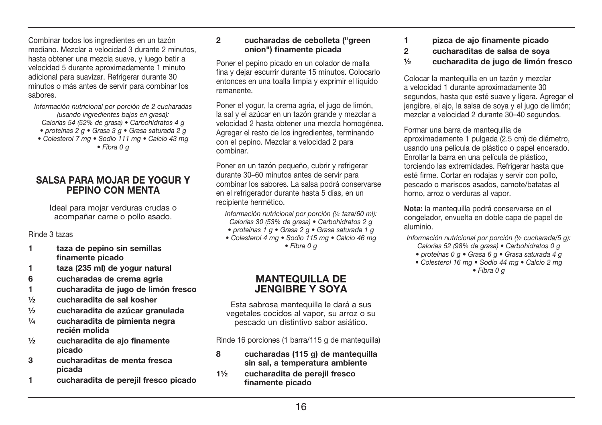Combinar todos los ingredientes en un tazón mediano. Mezclar a velocidad 3 durante 2 minutos hasta obtener una mezcla suave, y luego batir a velocidad 5 durante aproximadamente 1 minuto adicional para suavizar. Refrigerar durante 30 minutos o más antes de servir para combinar los sabores

#### Información nutricional por porción de 2 cucharadas (usando ingredientes bajos en grasa); Calorías 54 (52% de grasa) • Carbohidratos 4 g

- proteínas 2 q Grasa 3 q Grasa saturada 2 q
- Colesterol 7 ma · Sodio 111 ma · Calcio 43 ma
	- $\bullet$  Fibra 0  $\sigma$

#### **SALSA PARA MOJAR DE YOGUR Y** PEPINO CON MENTA

Ideal para moiar verduras crudas o acompañar carne o pollo asado.

Rinde 3 tazas

- $\mathbf{1}$ taza de pepino sin semillas finamente picado
- $\blacksquare$ taza (235 ml) de vogur natural
- 6 cucharadas de crema agria
- $\blacksquare$ cucharadita de jugo de limón fresco
- $1/2$ cucharadita de sal kosher
- $\frac{1}{2}$ cucharadita de azúcar granulada
- $1/a$ cucharadita de pimienta negra recién molida
- cucharadita de aio finamente  $1/2$ picado
- 3 cucharaditas de menta fresca picada
- cucharadita de pereiil fresco picado 1.

#### $\mathfrak{p}$ cucharadas de cebolleta ("green onion") finamente picada

Poner el pepino picado en un colador de malla fina y dejar escurrir durante 15 minutos. Colocarlo entonces en una toalla limpia y exprimir el líquido remanente

Poner el vogur, la crema agria, el jugo de limón. la sal y el azúcar en un tazón grande y mezclar a velocidad 2 hasta obtener una mezcla homogénea. Agregar el resto de los ingredientes, terminando con el pepino. Mezclar a velocidad 2 para combinar.

Poner en un tazón pequeño, cubrir y refrigerar durante 30-60 minutos antes de servir para combinar los sabores. La salsa podrá conservarse en el refrigerador durante hasta 5 días, en un recipiente hermético.

Información nutricional por porción (1/4 taza/60 ml): Calorías 30 (53% de grasa) · Carbohidratos 2 g

- · proteínas 1 q · Grasa 2 q · Grasa saturada 1 q
- Colesterol 4 ma Sodio 115 ma Calcio 46 ma  $\bullet$  Fibra 0  $\alpha$

#### **MANTEQUILLA DE JENGIBRE Y SOYA**

Esta sabrosa manteguilla le dará a sus vegetales cocidos al vapor, su arroz o su pescado un distintivo sabor asiático.

Rinde 16 porciones (1 barra/115 g de mantequilla)

- 8 cucharadas (115 g) de mantequilla sin sal, a temperatura ambiente
- $1\frac{1}{2}$ cucharadita de perejil fresco finamente picado
- $\blacktriangleleft$ pizca de aio finamente picado
- $\overline{2}$ cucharaditas de salsa de sova
- cucharadita de jugo de limón fresco  $1/2$

Colocar la mantequilla en un tazón y mezclar a velocidad 1 durante aproximadamente 30 segundos, hasta que esté suave y ligera. Agregar el jengibre, el ajo, la salsa de sova y el jugo de limón: mezclar a velocidad 2 durante 30-40 segundos.

Formar una barra de mantequilla de aproximadamente 1 pulgada (2.5 cm) de diámetro, usando una película de plástico o papel encerado. Enrollar la barra en una película de plástico. torciendo las extremidades. Refrigerar hasta que esté firme. Cortar en rodajas y servir con pollo, pescado o mariscos asados, camote/batatas al horno, arroz o verduras al vapor.

Nota: la mantequilla podrá conservarse en el congelador, envuelta en doble capa de papel de aluminio.

Información nutricional por porción (1/2 cucharada/5 g): Calorías 52 (98% de grasa) · Carbohidratos 0 g

- · proteínas 0 a · Grasa 6 a · Grasa saturada 4 a
- Colesterol 16 mg · Sodio 44 mg · Calcio 2 mg

 $\bullet$  Fibra 0  $\alpha$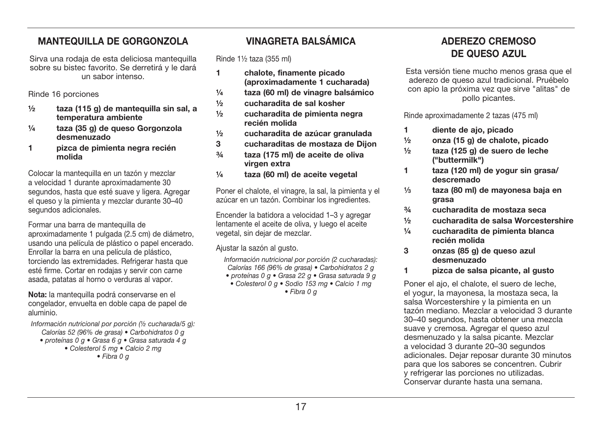### **MANTEQUILLA DE GORGONZOLA**

Sirva una rodaja de esta deliciosa mantequilla sobre su bistec favorito. Se derretirá y le dará un sabor intenso

Rinde 16 porciones

- $1/2$ taza (115 g) de manteguilla sin sal, a temperatura ambiente
- taza (35 g) de queso Gorgonzola  $1/a$ desmenuzado
- $\blacksquare$ pizca de pimienta negra recién molida

Colocar la manteguilla en un tazón y mezclar a velocidad 1 durante aproximadamente 30 segundos, hasta que esté suave y ligera. Agregar el queso y la pimienta y mezclar durante 30-40 segundos adicionales.

Formar una barra de mantequilla de aproximadamente 1 pulgada (2.5 cm) de diámetro. usando una película de plástico o papel encerado. Enrollar la barra en una película de plástico. torciendo las extremidades. Refrigerar hasta que esté firme. Cortar en rodajas y servir con carne asada, patatas al horno o verduras al vapor.

Nota: la mantequilla podrá conservarse en el congelador, envuelta en doble capa de papel de aluminio.

Información nutricional por porción (1/2 cucharada/5 q): Calorías 52 (96% de grasa) · Carbohidratos 0 g

- · proteínas 0 g · Grasa 6 g · Grasa saturada 4 g
	- Colesterol 5 ma · Calcio 2 ma
		- $\bullet$  Fibra 0  $\sigma$

### **VINAGRETA RAI SÁMICA**

Rinde 11/<sub>2</sub> taza (355 ml)

- $\blacksquare$ chalote, finamente picado (aproximadamente 1 cucharada)
- taza (60 ml) de vinagre balsámico  $1/4$
- $1/2$ cucharadita de sal kosher
- $1/2$ cucharadita de pimienta negra recién molida
- $1/2$ cucharadita de azúcar granulada
- 3 cucharaditas de mostaza de Diion
- $3/4$ taza (175 ml) de aceite de oliva virgen extra
- $1/a$ taza (60 ml) de aceite vegetal

Poner el chalote, el vinagre, la sal, la pimienta y el azúcar en un tazón. Combinar los ingredientes.

Encender la batidora a velocidad 1-3 y agregar lentamente el aceite de oliva, y luego el aceite vegetal, sin deiar de mezclar.

Aiustar la sazón al qusto.

Información nutricional por porción (2 cucharadas): Calorías 166 (96% de grasa) · Carbohidratos 2 g • proteínas 0 g • Grasa 22 g • Grasa saturada 9 g

• Colesterol 0 q · Sodio 153 mg · Calcio 1 mg

 $\bullet$  Fibra 0  $\sigma$ 

### ADEREZO CREMOSO DE QUESO AZUL

Esta versión tiene mucho menos grasa que el aderezo de queso azul tradicional. Pruébelo con apio la próxima vez que sirve "alitas" de pollo picantes.

Rinde aproximadamente 2 tazas (475 ml)

- diente de aio, picado  $\blacksquare$
- $\frac{1}{2}$ onza (15 g) de chalote, picado
- taza (125 g) de suero de leche  $1/2$ ("buttermilk")
- taza (120 ml) de vogur sin grasa/ 1. descremado
- taza (80 ml) de mavonesa baja en  $1/3$ **grasa**
- $3/4$ cucharadita de mostaza seca
- cucharadita de salsa Worcestershire  $1/2$
- $1/a$ cucharadita de pimienta blanca recién molida
- $\mathbf{3}$ onzas (85 g) de queso azul desmenuzado
- pizca de salsa picante, al qusto  $\blacksquare$

Poner el ajo, el chalote, el suero de leche. el vogur. la mavonesa, la mostaza seca, la salsa Worcestershire y la pimienta en un tazón mediano. Mezclar a velocidad 3 durante 30-40 segundos, hasta obtener una mezcla suave y cremosa. Agregar el queso azul desmenuzado y la salsa picante. Mezclar a velocidad 3 durante 20-30 segundos adicionales. Dejar reposar durante 30 minutos para que los sabores se concentren. Cubrir y refrigerar las porciones no utilizadas. Conservar durante hasta una semana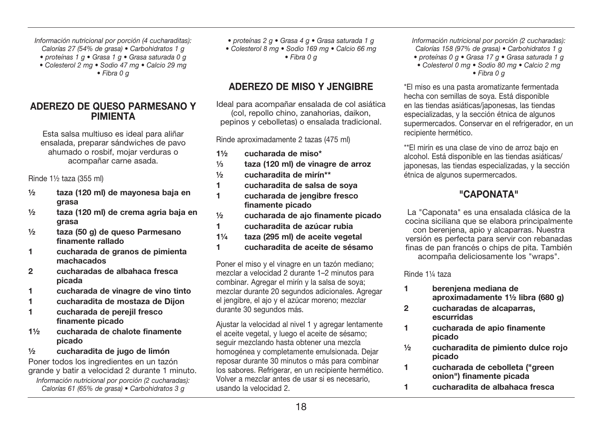Información nutricional por porción (4 cucharaditas):

- Calorías 27 (54% de grasa) Carbohidratos 1 g  $\bullet$  proteínas 1 g  $\bullet$  Grasa 1 g  $\bullet$  Grasa saturada 0 g
- 
- Colesterol 2 mg Sodio 47 mg Calcio 29 mg

 $\bullet$  Fibra 0  $\sigma$ 

#### ADEREZO DE QUESO PARMESANO Y **PIMIFNTA**

Esta salsa multiuso es ideal para aliñar ensalada, preparar sándwiches de pavo ahumado o rosbif, mojar verduras o acompañar carne asada.

Rinde  $1\frac{1}{2}$  taza (355 ml)

- ½ taza (120 ml) de mayonesa baja en grasa
- ½ taza (120 ml) de crema agria baja en grasa
- ½ taza (50 g) de queso Parmesano finamente rallado
- 1 cucharada de granos de pimienta machacados
- 2 cucharadas de albahaca fresca picada
- 1 cucharada de vinagre de vino tinto
- 1 cucharadita de mostaza de Dijon
- 1 cucharada de perejil fresco finamente picado
- 1½ cucharada de chalote finamente picado
- ½ cucharadita de jugo de limón

Poner todos los ingredientes en un tazón grande y batir a velocidad 2 durante 1 minuto.

Información nutricional por porción (2 cucharadas): Calorías 61 (65% de grasa) • Carbohidratos 3 g

• proteínas 2 g · Grasa 4 g · Grasa saturada 1 g • Colesterol 8 ma • Sodio 169 ma • Calcio 66 ma  $\bullet$  Fibra 0  $\sigma$ 

### ADEREZO DE MISO Y JENGIBRE

Ideal para acompañar ensalada de col asiática (col. repollo chino, zanahorias, daikon. pepinos y cebolletas) o ensalada tradicional.

Rinde aproximadamente 2 tazas (475 ml)

- 1½ cucharada de miso\*
- 1⁄3 taza (120 ml) de vinagre de arroz
- ½ cucharadita de mirín\*\*
- 1 cucharadita de salsa de soya
- 1 cucharada de jengibre fresco finamente picado
- ½ cucharada de ajo finamente picado
- 1 cucharadita de azúcar rubia
- 1¼ taza (295 ml) de aceite vegetal
- 1 cucharadita de aceite de sésamo

Poner el miso y el vinagre en un tazón mediano; mezclar a velocidad 2 durante 1-2 minutos para combinar. Agregar el mirín y la salsa de sova: mezclar durante 20 segundos adicionales. Agregar el jengibre, el ajo y el azúcar moreno: mezclar durante 30 segundos más.

Ajustar la velocidad al nivel 1 y agregar lentamente el aceite vegetal, y luego el aceite de sésamo; sequir mezclando hasta obtener una mezcla homogénea y completamente emulsionada. Dejar reposar durante 30 minutos o más para combinar los sabores. Refrigerar, en un recipiente hermético. Volver a mezclar antes de usar si es necesario, usando la velocidad 2.

Información nutricional por porción (2 cucharadas): Calorías 158 (97% de grasa) • Carbohidratos 1 g

- proteínas  $0 \text{ a}$  Grasa 17  $\alpha$  Grasa saturada 1  $\alpha$
- Colesterol 0 mg Sodio 80 mg Calcio 2 mg  $\bullet$  Fibra 0 a

\*El miso es una pasta aromatizante fermentada hecha con semillas de sova. Está disponible en las tiendas asiáticas/iaponesas. las tiendas especializadas, y la sección étnica de algunos supermercados. Conservar en el refrigerador, en un recipiente hermético.

\*\*El mirín es una clase de vino de arroz bajo en alcohol. Está disponible en las tiendas asiáticas/ iaponesas. las tiendas especializadas, y la sección étnica de algunos supermercados.

### "CAPONATA"

La "Caponata" es una ensalada clásica de la cocina siciliana que se elabora principalmente con bereniena, apio y alcaparras. Nuestra versión es perfecta para servir con rebanadas finas de pan francés o chips de pita. También acompaña deliciosamente los "wraps".

Rinde 11/4 taza

- 1 berenjena mediana de aproximadamente 1½ libra (680 g)
- 2 cucharadas de alcaparras, escurridas
- 1 cucharada de apio finamente picado
- ½ cucharadita de pimiento dulce rojo picado
- 1 cucharada de cebolleta ("green onion") finamente picada
- 1 cucharadita de albahaca fresca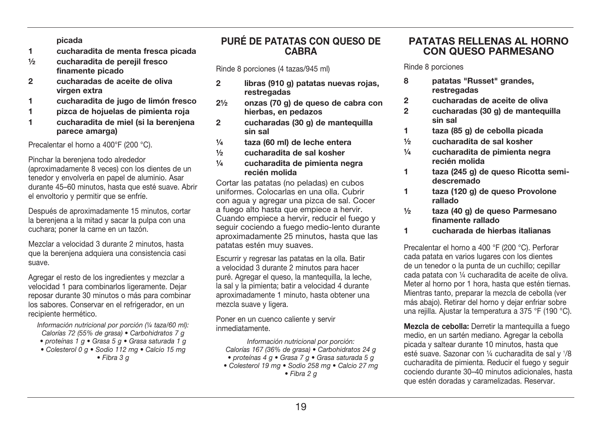nicada

- cucharadita de menta fresca picada  $\blacksquare$
- $1/2$ cucharadita de pereiil fresco finamente picado
- $\mathfrak{p}$ cucharadas de aceite de oliva virgen extra
- $\blacksquare$ cucharadita de jugo de limón fresco
- $\blacksquare$ pizca de hojuelas de pimienta roja
- $\blacksquare$ cucharadita de miel (si la bereniena parece amargal

Precalentar el horno a 400°F (200 °C).

Pinchar la bereniena todo alrededor

(aproximadamente 8 yeces) con los dientes de un tenedor y envolverla en papel de aluminio. Asar durante 45-60 minutos, hasta que esté suave. Abrir el envoltorio y permitir que se enfríe.

Después de aproximadamente 15 minutos, cortar la bereniena a la mitad y sacar la pulpa con una cuchara: poner la carne en un tazón.

Mezclar a velocidad 3 durante 2 minutos, hasta que la bereniena adquiera una consistencia casi suave.

Agregar el resto de los ingredientes y mezclar a velocidad 1 para combinarlos ligeramente. Dejar reposar durante 30 minutos o más para combinar los sabores. Conservar en el refrigerador, en un recipiente hermético.

Información nutricional por porción (1/4 taza/60 ml): Calorías 72 (55% de grasa) · Carbohidratos 7 g

- · proteínas 1 q · Grasa 5 q · Grasa saturada 1 q
- Colesterol 0 g · Sodio 112 mg · Calcio 15 mg

 $\bullet$  Fibra 3 g

### PURÉ DE PATATAS CON QUESO DE **CARRA**

Rinde 8 porciones (4 tazas/945 ml)

- $\mathbf{v}$ libras (910 g) patatas nuevas roias. restregadas
- onzas (70 g) de queso de cabra con  $21/2$ hierbas, en pedazos
- $\mathfrak{p}$ cucharadas (30 g) de mantequilla sin sal
- $1/a$ taza (60 ml) de leche entera
- $1/2$ cucharadita de sal kosher
- $1/4$ cucharadita de pimienta negra recién molida

Cortar las patatas (no peladas) en cubos uniformes. Colocarlas en una olla. Cubrir con agua y agregar una pizca de sal. Cocer a fuego alto hasta que empiece a hervir. Cuando empiece a hervir, reducir el fuego y sequir cociendo a fuego medio-lento durante aproximadamente 25 minutos, hasta que las patatas estén muy suaves.

Escurrir y regresar las patatas en la olla. Batir a velocidad 3 durante 2 minutos para hacer puré. Agregar el queso, la mantequilla, la leche, la sal y la pimienta: batir a velocidad 4 durante aproximadamente 1 minuto, hasta obtener una mezcla suave y ligera.

Poner en un cuenco caliente y servir inmediatamente

Información nutricional por porción: Calorías 167 (36% de grasa) · Carbohidratos 24 g

- · proteínas 4 g · Grasa 7 g · Grasa saturada 5 g
- Colesterol 19 mg · Sodio 258 mg · Calcio 27 mg  $\bullet$  Fibra 2  $\alpha$

#### **PATATAS RELLENAS AL HORNO** CON OUESO PARMESANO

Rinde 8 porciones

- patatas "Russet" grandes. 8 restregadas
- $\overline{2}$ cucharadas de aceite de oliva
- $\mathfrak{p}$ cucharadas (30 g) de mantequilla sin sal
- taza (85 g) de cebolla picada  $\blacksquare$
- $1/2$ cucharadita de sal kosher
- $1/a$ cucharadita de pimienta negra recién molida
- $\blacksquare$ taza (245 g) de queso Ricotta semidescremado
- $\blacksquare$ taza (120 g) de gueso Provolone rallado
- $1/2$ taza (40 g) de gueso Parmesano finamente rallado
- cucharada de hierbas italianas 1.

Precalentar el horno a 400 °F (200 °C). Perforar cada patata en varios lugares con los dientes de un tenedor o la punta de un cuchillo: cepillar cada patata con 1/4 cucharadita de aceite de oliva. Meter al horno por 1 hora, hasta que estén tiernas. Mientras tanto, preparar la mezcla de cebolla (ver más abaio). Retirar del horno y dejar enfriar sobre una reilla. Aiustar la temperatura a 375 °F (190 °C).

Mezcla de cebolla: Derretir la mantequilla a fuego medio, en un sartén mediano. Agregar la cebolla picada y saltear durante 10 minutos, hasta que esté suave. Sazonar con 1/4 cucharadita de sal y 1/8 cucharadita de pimienta. Reducir el fuego y seguir cociendo durante 30-40 minutos adicionales, hasta que estén doradas y caramelizadas. Reservar.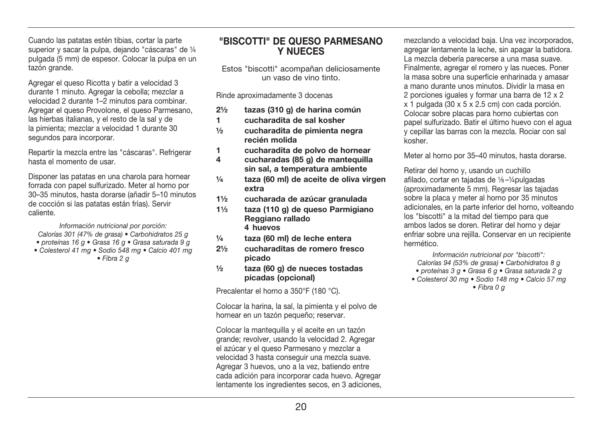Cuando las patatas estén tibias, cortar la parte superior y sacar la pulpa, dejando "cáscaras" de 1/4 pulgada (5 mm) de espesor. Colocar la pulpa en un tazón grande.

Agregar el queso Ricotta y batir a velocidad 3 durante 1 minuto. Agregar la cebolla; mezclar a velocidad 2 durante 1-2 minutos para combinar. Agregar el queso Provolone, el queso Parmesano. las hierbas italianas, y el resto de la sal y de la pimienta: mezclar a velocidad 1 durante 30 segundos para incorporar.

Repartir la mezcla entre las "cáscaras". Refrigerar hasta el momento de usar.

Disponer las patatas en una charola para hornear forrada con papel sulfurizado. Meter al horno por 30-35 minutos, hasta dorarse (añadir 5-10 minutos de cocción si las patatas están frías). Servir caliente

Información nutricional por porción: Calorías 301 (47% de grasa) · Carbohidratos 25 g · proteínas 16 g · Grasa 16 g · Grasa saturada 9 g

· Colesterol 41 mg · Sodio 548 mg · Calcio 401 mg

 $\bullet$  Fibra 2  $\sigma$ 

#### "BISCOTTI" DE QUESO PARMESANO **Y NUFCES**

Estos "biscotti" acompañan deliciosamente un vaso de vino tinto

Rinde aproximadamente 3 docenas

- $21/2$ tazas (310 g) de harina común
- 1. cucharadita de sal kosher
- $1/2$ cucharadita de pimienta negra recién molida
- 1. cucharadita de polvo de hornear
- $\overline{\mathbf{A}}$ cucharadas (85 g) de mantequilla sin sal. a temperatura ambiente
- $1/a$ taza (60 ml) de aceite de oliva virgen extra
- cucharada de azúcar granulada  $11/2$
- taza (110 g) de gueso Parmigiano  $11/2$ Reggiano rallado  $4 \overline{h}$
- $1/a$ taza (60 ml) de leche entera
- $21/2$ cucharaditas de romero fresco picado
- taza (60 g) de nueces tostadas  $1/2$ picadas (opcional)

Precalentar el horno a 350°F (180 °C).

Colocar la harina, la sal, la pimienta y el polvo de hornear en un tazón pequeño: reservar.

Colocar la mantequilla y el aceite en un tazón grande: revolver, usando la velocidad 2. Agregar el azúcar y el queso Parmesano y mezclar a velocidad 3 hasta conseguir una mezcla suave. Agregar 3 huevos, uno a la vez, batiendo entre cada adición para incorporar cada huevo. Agregar lentamente los ingredientes secos, en 3 adiciones. mezclando a velocidad baja. Una vez incorporados. agregar lentamente la leche, sin apagar la batidora. La mezcla debería parecerse a una masa suave. Finalmente, agregar el romero y las nueces. Poner la masa sobre una superficie enharinada y amasar a mano durante unos minutos. Dividir la masa en 2 porciones iguales y formar una barra de 12 x 2  $x$  1 pulgada (30 x 5 x 2.5 cm) con cada porción. Colocar sobre placas para horno cubiertas con papel sulfurizado. Batir el último huevo con el agua y cepillar las barras con la mezcla. Rociar con sal kosher

Meter al horno por 35-40 minutos, hasta dorarse.

Retirar del horno v. usando un cuchillo afilado, cortar en tajadas de 1/8-1/4 pulgadas (aproximadamente 5 mm). Regresar las tajadas sobre la placa y meter al horno por 35 minutos adicionales, en la parte inferior del horno, volteando los "biscotti" a la mitad del tiempo para que ambos lados se doren. Retirar del horno y dejar enfriar sobre una reiilla. Conservar en un recipiente hermético.

Información nutricional por "biscotti": Calorías 94 (53% de grasa) · Carbohidratos 8 g

- · proteínas 3 g · Grasa 6 g · Grasa saturada 2 g
- Colesterol 30 mg · Sodio 148 mg · Calcio 57 mg

 $\bullet$  Fibra 0  $\alpha$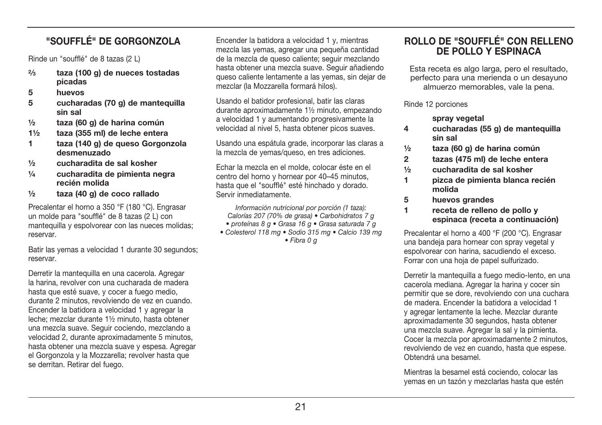# "SOLIEELÉ" DE GORGONZOLA

Rinde un "soufflé" de 8 tazas (2 L)

- $2/3$ taza (100 g) de nueces tostadas picadas
- 5 huevos
- 5 cucharadas (70 g) de mantequilla sin sal
- taza (60 g) de harina común  $1/2$
- $11/2$ taza (355 ml) de leche entera
- $\blacksquare$ taza (140 g) de gueso Gorgonzola desmenuzado
- $1/2$ cucharadita de sal kosher
- $1/a$ cucharadita de pimienta negra recién molida
- taza (40 g) de coco rallado  $1/2$

Precalentar el horno a 350 °F (180 °C). Engrasar un molde para "soufflé" de 8 tazas (2 L) con mantequilla y espolvorear con las nueces molidas: reservar.

Batir las vemas a velocidad 1 durante 30 segundos: reservar.

Derretir la manteguilla en una cacerola. Agregar la harina, revolver con una cucharada de madera hasta que esté suave, y cocer a fuego medio, durante 2 minutos, revolviendo de vez en cuando. Encender la batidora a velocidad 1 y agregar la leche: mezclar durante 11/2 minuto, hasta obtener una mezcla suave. Seguir cociendo, mezclando a velocidad 2, durante aproximadamente 5 minutos. hasta obtener una mezcla suave y espesa. Agregar el Gorgonzola y la Mozzarella; revolver hasta que se derritan. Retirar del fuego.

Encender la batidora a velocidad 1 v. mientras mezcla las vemas, agregar una pequeña cantidad de la mezcla de queso caliente: seguir mezclando hasta obtener una mezcla suave. Sequir añadiendo queso caliente lentamente a las vemas, sin deiar de mezclar (la Mozzarella formará hilos).

Usando el batidor profesional, batir las claras durante aproximadamente 11/2 minuto, empezando a velocidad 1 y aumentando progresiyamente la velocidad al nivel 5, hasta obtener picos suaves.

Usando una espátula grade, incorporar las claras a la mezcla de vemas/queso, en tres adiciones.

Echar la mezcla en el molde, colocar éste en el centro del horno y hornear por 40-45 minutos. hasta que el "soufflé" esté hinchado y dorado. Servir inmediatamente

Información nutricional por porción (1 taza): Calorías 207 (70% de grasa) · Carbohidratos 7 g

- · proteínas 8 a · Grasa 16 a · Grasa saturada 7 a
- Colesterol 118 mg · Sodio 315 mg · Calcio 139 mg  $\bullet$  Fibra 0  $\alpha$

### ROLLO DE "SOUFFLÉ" CON RELLENO DE POLLO Y ESPINAÇA

Esta receta es algo larga, pero el resultado. perfecto para una merienda o un desavuno almuerzo memorables, vale la pena.

Rinde 12 porciones

spray vegetal

- cucharadas (55 g) de mantequilla  $\overline{\mathbf{4}}$ sin sal
- taza (60 g) de harina común  $\frac{1}{2}$
- $\overline{2}$ tazas (475 ml) de leche entera
- $1/2$ cucharadita de sal kosher
- $\blacksquare$ pizca de pimienta blanca recién molida
- 5 huevos grandes
- $\blacksquare$ receta de relleno de pollo y espinaca (receta a continuación)

Precalentar el horno a 400 °F (200 °C). Engrasar una bandeia para hornear con spray yegetal y espolvorear con harina, sacudiendo el exceso. Forrar con una hoja de papel sulfurizado.

Derretir la mantequilla a fuego medio-lento, en una cacerola mediana. Agregar la harina y cocer sin permitir que se dore, revolviendo con una cuchara de madera. Encender la batidora a velocidad 1 v agregar lentamente la leche. Mezclar durante aproximadamente 30 segundos, hasta obtener una mezcla suave. Agregar la sal y la pimienta. Cocer la mezcla por aproximadamente 2 minutos, revolviendo de vez en cuando, hasta que espese. Obtendrá una besamel.

Mientras la besamel está cociendo, colocar las yemas en un tazón y mezclarlas hasta que estén